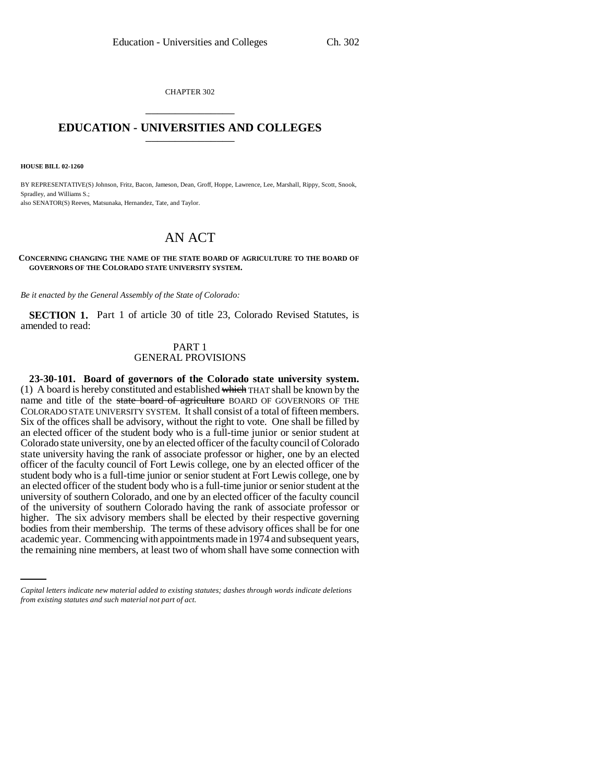CHAPTER 302 \_\_\_\_\_\_\_\_\_\_\_\_\_\_\_

# **EDUCATION - UNIVERSITIES AND COLLEGES** \_\_\_\_\_\_\_\_\_\_\_\_\_\_\_

**HOUSE BILL 02-1260**

BY REPRESENTATIVE(S) Johnson, Fritz, Bacon, Jameson, Dean, Groff, Hoppe, Lawrence, Lee, Marshall, Rippy, Scott, Snook, Spradley, and Williams S.; also SENATOR(S) Reeves, Matsunaka, Hernandez, Tate, and Taylor.

# AN ACT

#### **CONCERNING CHANGING THE NAME OF THE STATE BOARD OF AGRICULTURE TO THE BOARD OF GOVERNORS OF THE COLORADO STATE UNIVERSITY SYSTEM.**

*Be it enacted by the General Assembly of the State of Colorado:*

**SECTION 1.** Part 1 of article 30 of title 23, Colorado Revised Statutes, is amended to read:

# PART 1 GENERAL PROVISIONS

bodies from their membership. The terms of these advisory offices shall be for one **23-30-101. Board of governors of the Colorado state university system.** (1) A board is hereby constituted and established which THAT shall be known by the name and title of the state board of agriculture BOARD OF GOVERNORS OF THE COLORADO STATE UNIVERSITY SYSTEM. It shall consist of a total of fifteen members. Six of the offices shall be advisory, without the right to vote. One shall be filled by an elected officer of the student body who is a full-time junior or senior student at Colorado state university, one by an elected officer of the faculty council of Colorado state university having the rank of associate professor or higher, one by an elected officer of the faculty council of Fort Lewis college, one by an elected officer of the student body who is a full-time junior or senior student at Fort Lewis college, one by an elected officer of the student body who is a full-time junior or senior student at the university of southern Colorado, and one by an elected officer of the faculty council of the university of southern Colorado having the rank of associate professor or higher. The six advisory members shall be elected by their respective governing academic year. Commencing with appointments made in 1974 and subsequent years, the remaining nine members, at least two of whom shall have some connection with

*Capital letters indicate new material added to existing statutes; dashes through words indicate deletions from existing statutes and such material not part of act.*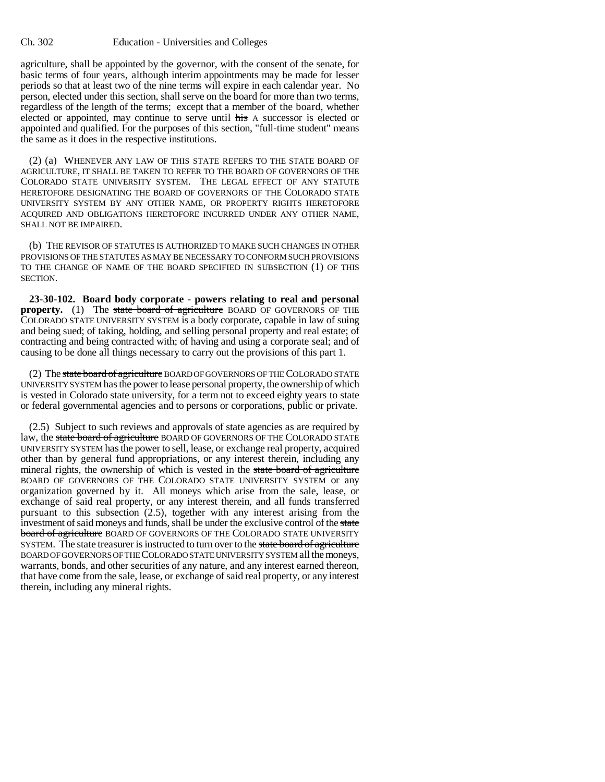agriculture, shall be appointed by the governor, with the consent of the senate, for basic terms of four years, although interim appointments may be made for lesser periods so that at least two of the nine terms will expire in each calendar year. No person, elected under this section, shall serve on the board for more than two terms, regardless of the length of the terms; except that a member of the board, whether elected or appointed, may continue to serve until his A successor is elected or appointed and qualified. For the purposes of this section, "full-time student" means the same as it does in the respective institutions.

(2) (a) WHENEVER ANY LAW OF THIS STATE REFERS TO THE STATE BOARD OF AGRICULTURE, IT SHALL BE TAKEN TO REFER TO THE BOARD OF GOVERNORS OF THE COLORADO STATE UNIVERSITY SYSTEM. THE LEGAL EFFECT OF ANY STATUTE HERETOFORE DESIGNATING THE BOARD OF GOVERNORS OF THE COLORADO STATE UNIVERSITY SYSTEM BY ANY OTHER NAME, OR PROPERTY RIGHTS HERETOFORE ACQUIRED AND OBLIGATIONS HERETOFORE INCURRED UNDER ANY OTHER NAME, SHALL NOT BE IMPAIRED.

(b) THE REVISOR OF STATUTES IS AUTHORIZED TO MAKE SUCH CHANGES IN OTHER PROVISIONS OF THE STATUTES AS MAY BE NECESSARY TO CONFORM SUCH PROVISIONS TO THE CHANGE OF NAME OF THE BOARD SPECIFIED IN SUBSECTION (1) OF THIS SECTION.

**23-30-102. Board body corporate - powers relating to real and personal property.** (1) The state board of agriculture BOARD OF GOVERNORS OF THE COLORADO STATE UNIVERSITY SYSTEM is a body corporate, capable in law of suing and being sued; of taking, holding, and selling personal property and real estate; of contracting and being contracted with; of having and using a corporate seal; and of causing to be done all things necessary to carry out the provisions of this part 1.

(2) The state board of agriculture BOARD OF GOVERNORS OF THE COLORADO STATE UNIVERSITY SYSTEM has the power to lease personal property, the ownership of which is vested in Colorado state university, for a term not to exceed eighty years to state or federal governmental agencies and to persons or corporations, public or private.

(2.5) Subject to such reviews and approvals of state agencies as are required by law, the state board of agriculture BOARD OF GOVERNORS OF THE COLORADO STATE UNIVERSITY SYSTEM has the power to sell, lease, or exchange real property, acquired other than by general fund appropriations, or any interest therein, including any mineral rights, the ownership of which is vested in the state board of agriculture BOARD OF GOVERNORS OF THE COLORADO STATE UNIVERSITY SYSTEM or any organization governed by it. All moneys which arise from the sale, lease, or exchange of said real property, or any interest therein, and all funds transferred pursuant to this subsection (2.5), together with any interest arising from the investment of said moneys and funds, shall be under the exclusive control of the state board of agriculture BOARD OF GOVERNORS OF THE COLORADO STATE UNIVERSITY SYSTEM. The state treasurer is instructed to turn over to the state board of agriculture BOARD OF GOVERNORS OF THE COLORADO STATE UNIVERSITY SYSTEM all the moneys, warrants, bonds, and other securities of any nature, and any interest earned thereon, that have come from the sale, lease, or exchange of said real property, or any interest therein, including any mineral rights.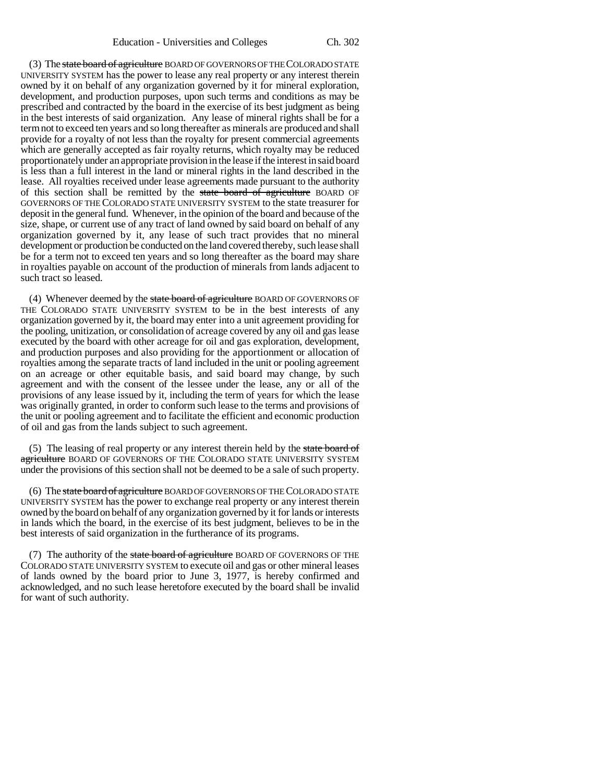(3) The state board of agriculture BOARD OF GOVERNORS OF THE COLORADO STATE UNIVERSITY SYSTEM has the power to lease any real property or any interest therein owned by it on behalf of any organization governed by it for mineral exploration, development, and production purposes, upon such terms and conditions as may be prescribed and contracted by the board in the exercise of its best judgment as being in the best interests of said organization. Any lease of mineral rights shall be for a term not to exceed ten years and so long thereafter as minerals are produced and shall provide for a royalty of not less than the royalty for present commercial agreements which are generally accepted as fair royalty returns, which royalty may be reduced proportionately under an appropriate provision in the lease if the interest in said board is less than a full interest in the land or mineral rights in the land described in the lease. All royalties received under lease agreements made pursuant to the authority of this section shall be remitted by the state board of agriculture BOARD OF GOVERNORS OF THE COLORADO STATE UNIVERSITY SYSTEM to the state treasurer for deposit in the general fund. Whenever, in the opinion of the board and because of the size, shape, or current use of any tract of land owned by said board on behalf of any organization governed by it, any lease of such tract provides that no mineral development or production be conducted on the land covered thereby, such lease shall be for a term not to exceed ten years and so long thereafter as the board may share in royalties payable on account of the production of minerals from lands adjacent to such tract so leased.

(4) Whenever deemed by the state board of agriculture BOARD OF GOVERNORS OF THE COLORADO STATE UNIVERSITY SYSTEM to be in the best interests of any organization governed by it, the board may enter into a unit agreement providing for the pooling, unitization, or consolidation of acreage covered by any oil and gas lease executed by the board with other acreage for oil and gas exploration, development, and production purposes and also providing for the apportionment or allocation of royalties among the separate tracts of land included in the unit or pooling agreement on an acreage or other equitable basis, and said board may change, by such agreement and with the consent of the lessee under the lease, any or all of the provisions of any lease issued by it, including the term of years for which the lease was originally granted, in order to conform such lease to the terms and provisions of the unit or pooling agreement and to facilitate the efficient and economic production of oil and gas from the lands subject to such agreement.

(5) The leasing of real property or any interest therein held by the state board of agriculture BOARD OF GOVERNORS OF THE COLORADO STATE UNIVERSITY SYSTEM under the provisions of this section shall not be deemed to be a sale of such property.

(6) The state board of agriculture BOARD OF GOVERNORS OF THE COLORADO STATE UNIVERSITY SYSTEM has the power to exchange real property or any interest therein owned by the board on behalf of any organization governed by it for lands or interests in lands which the board, in the exercise of its best judgment, believes to be in the best interests of said organization in the furtherance of its programs.

(7) The authority of the state board of agriculture BOARD OF GOVERNORS OF THE COLORADO STATE UNIVERSITY SYSTEM to execute oil and gas or other mineral leases of lands owned by the board prior to June 3, 1977, is hereby confirmed and acknowledged, and no such lease heretofore executed by the board shall be invalid for want of such authority.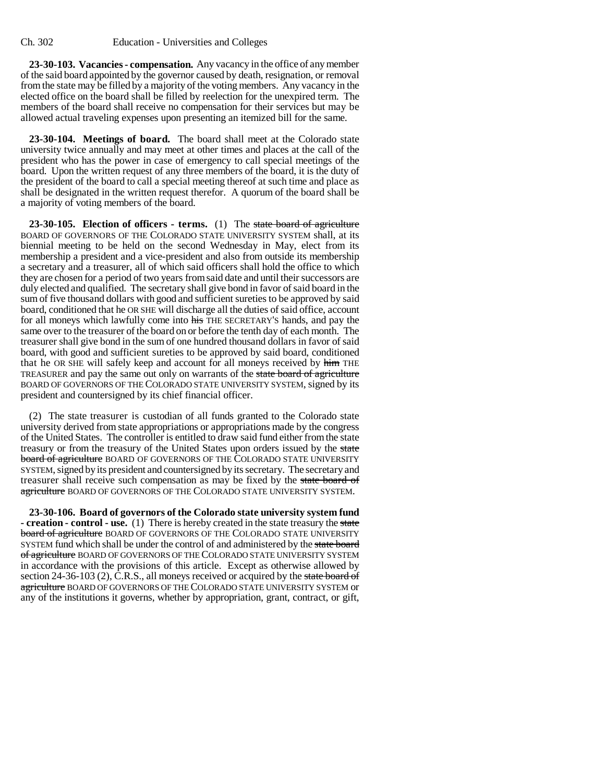**23-30-103. Vacancies - compensation.** Any vacancy in the office of any member of the said board appointed by the governor caused by death, resignation, or removal from the state may be filled by a majority of the voting members. Any vacancy in the elected office on the board shall be filled by reelection for the unexpired term. The members of the board shall receive no compensation for their services but may be allowed actual traveling expenses upon presenting an itemized bill for the same.

**23-30-104. Meetings of board.** The board shall meet at the Colorado state university twice annually and may meet at other times and places at the call of the president who has the power in case of emergency to call special meetings of the board. Upon the written request of any three members of the board, it is the duty of the president of the board to call a special meeting thereof at such time and place as shall be designated in the written request therefor. A quorum of the board shall be a majority of voting members of the board.

**23-30-105. Election of officers - terms.** (1) The state board of agriculture BOARD OF GOVERNORS OF THE COLORADO STATE UNIVERSITY SYSTEM shall, at its biennial meeting to be held on the second Wednesday in May, elect from its membership a president and a vice-president and also from outside its membership a secretary and a treasurer, all of which said officers shall hold the office to which they are chosen for a period of two years from said date and until their successors are duly elected and qualified. The secretary shall give bond in favor of said board in the sum of five thousand dollars with good and sufficient sureties to be approved by said board, conditioned that he OR SHE will discharge all the duties of said office, account for all moneys which lawfully come into his THE SECRETARY'S hands, and pay the same over to the treasurer of the board on or before the tenth day of each month. The treasurer shall give bond in the sum of one hundred thousand dollars in favor of said board, with good and sufficient sureties to be approved by said board, conditioned that he OR SHE will safely keep and account for all moneys received by him THE TREASURER and pay the same out only on warrants of the state board of agriculture BOARD OF GOVERNORS OF THE COLORADO STATE UNIVERSITY SYSTEM, signed by its president and countersigned by its chief financial officer.

(2) The state treasurer is custodian of all funds granted to the Colorado state university derived from state appropriations or appropriations made by the congress of the United States. The controller is entitled to draw said fund either from the state treasury or from the treasury of the United States upon orders issued by the state board of agriculture BOARD OF GOVERNORS OF THE COLORADO STATE UNIVERSITY SYSTEM, signed by its president and countersigned by its secretary. The secretary and treasurer shall receive such compensation as may be fixed by the state board of agriculture BOARD OF GOVERNORS OF THE COLORADO STATE UNIVERSITY SYSTEM.

**23-30-106. Board of governors of the Colorado state university system fund - creation - control - use.** (1) There is hereby created in the state treasury the state board of agriculture BOARD OF GOVERNORS OF THE COLORADO STATE UNIVERSITY SYSTEM fund which shall be under the control of and administered by the state board of agriculture BOARD OF GOVERNORS OF THE COLORADO STATE UNIVERSITY SYSTEM in accordance with the provisions of this article. Except as otherwise allowed by section 24-36-103 (2), C.R.S., all moneys received or acquired by the state board of agriculture BOARD OF GOVERNORS OF THE COLORADO STATE UNIVERSITY SYSTEM or any of the institutions it governs, whether by appropriation, grant, contract, or gift,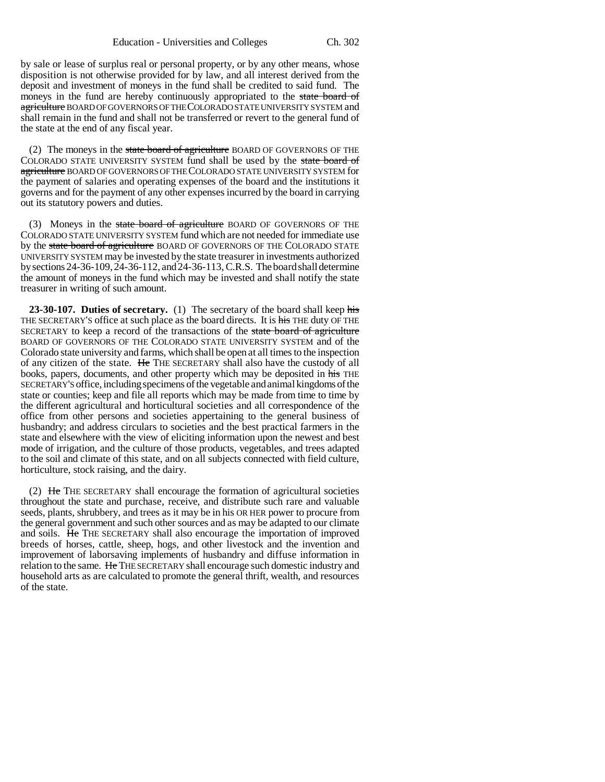by sale or lease of surplus real or personal property, or by any other means, whose disposition is not otherwise provided for by law, and all interest derived from the deposit and investment of moneys in the fund shall be credited to said fund. The moneys in the fund are hereby continuously appropriated to the state board of agriculture BOARD OF GOVERNORS OF THE COLORADO STATE UNIVERSITY SYSTEM and shall remain in the fund and shall not be transferred or revert to the general fund of the state at the end of any fiscal year.

(2) The moneys in the state board of agriculture BOARD OF GOVERNORS OF THE COLORADO STATE UNIVERSITY SYSTEM fund shall be used by the state board of agriculture BOARD OF GOVERNORS OF THE COLORADO STATE UNIVERSITY SYSTEM for the payment of salaries and operating expenses of the board and the institutions it governs and for the payment of any other expenses incurred by the board in carrying out its statutory powers and duties.

(3) Moneys in the state board of agriculture BOARD OF GOVERNORS OF THE COLORADO STATE UNIVERSITY SYSTEM fund which are not needed for immediate use by the state board of agriculture BOARD OF GOVERNORS OF THE COLORADO STATE UNIVERSITY SYSTEM may be invested by the state treasurer in investments authorized by sections 24-36-109, 24-36-112, and 24-36-113, C.R.S. The board shall determine the amount of moneys in the fund which may be invested and shall notify the state treasurer in writing of such amount.

**23-30-107. Duties of secretary.** (1) The secretary of the board shall keep his THE SECRETARY'S office at such place as the board directs. It is his THE duty OF THE SECRETARY to keep a record of the transactions of the state board of agriculture BOARD OF GOVERNORS OF THE COLORADO STATE UNIVERSITY SYSTEM and of the Colorado state university and farms, which shall be open at all times to the inspection of any citizen of the state. He THE SECRETARY shall also have the custody of all books, papers, documents, and other property which may be deposited in his THE SECRETARY'S office, including specimens of the vegetable and animal kingdoms of the state or counties; keep and file all reports which may be made from time to time by the different agricultural and horticultural societies and all correspondence of the office from other persons and societies appertaining to the general business of husbandry; and address circulars to societies and the best practical farmers in the state and elsewhere with the view of eliciting information upon the newest and best mode of irrigation, and the culture of those products, vegetables, and trees adapted to the soil and climate of this state, and on all subjects connected with field culture, horticulture, stock raising, and the dairy.

(2) He THE SECRETARY shall encourage the formation of agricultural societies throughout the state and purchase, receive, and distribute such rare and valuable seeds, plants, shrubbery, and trees as it may be in his OR HER power to procure from the general government and such other sources and as may be adapted to our climate and soils. He THE SECRETARY shall also encourage the importation of improved breeds of horses, cattle, sheep, hogs, and other livestock and the invention and improvement of laborsaving implements of husbandry and diffuse information in relation to the same. He THE SECRETARY shall encourage such domestic industry and household arts as are calculated to promote the general thrift, wealth, and resources of the state.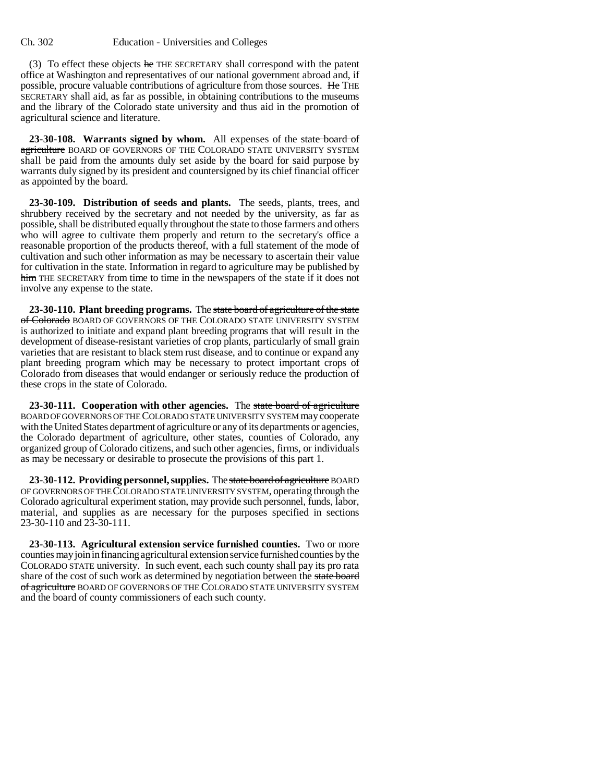(3) To effect these objects  $he$  THE SECRETARY shall correspond with the patent office at Washington and representatives of our national government abroad and, if possible, procure valuable contributions of agriculture from those sources. He THE SECRETARY shall aid, as far as possible, in obtaining contributions to the museums and the library of the Colorado state university and thus aid in the promotion of agricultural science and literature.

**23-30-108. Warrants signed by whom.** All expenses of the state board of agriculture BOARD OF GOVERNORS OF THE COLORADO STATE UNIVERSITY SYSTEM shall be paid from the amounts duly set aside by the board for said purpose by warrants duly signed by its president and countersigned by its chief financial officer as appointed by the board.

**23-30-109. Distribution of seeds and plants.** The seeds, plants, trees, and shrubbery received by the secretary and not needed by the university, as far as possible, shall be distributed equally throughout the state to those farmers and others who will agree to cultivate them properly and return to the secretary's office a reasonable proportion of the products thereof, with a full statement of the mode of cultivation and such other information as may be necessary to ascertain their value for cultivation in the state. Information in regard to agriculture may be published by him THE SECRETARY from time to time in the newspapers of the state if it does not involve any expense to the state.

**23-30-110. Plant breeding programs.** The state board of agriculture of the state of Colorado BOARD OF GOVERNORS OF THE COLORADO STATE UNIVERSITY SYSTEM is authorized to initiate and expand plant breeding programs that will result in the development of disease-resistant varieties of crop plants, particularly of small grain varieties that are resistant to black stem rust disease, and to continue or expand any plant breeding program which may be necessary to protect important crops of Colorado from diseases that would endanger or seriously reduce the production of these crops in the state of Colorado.

**23-30-111. Cooperation with other agencies.** The state board of agriculture BOARD OF GOVERNORS OF THE COLORADO STATE UNIVERSITY SYSTEM may cooperate with the United States department of agriculture or any of its departments or agencies, the Colorado department of agriculture, other states, counties of Colorado, any organized group of Colorado citizens, and such other agencies, firms, or individuals as may be necessary or desirable to prosecute the provisions of this part 1.

**23-30-112. Providing personnel, supplies.** The state board of agriculture BOARD OF GOVERNORS OF THE COLORADO STATE UNIVERSITY SYSTEM, operating through the Colorado agricultural experiment station, may provide such personnel, funds, labor, material, and supplies as are necessary for the purposes specified in sections 23-30-110 and 23-30-111.

**23-30-113. Agricultural extension service furnished counties.** Two or more counties may join in financing agricultural extension service furnished counties by the COLORADO STATE university. In such event, each such county shall pay its pro rata share of the cost of such work as determined by negotiation between the state board of agriculture BOARD OF GOVERNORS OF THE COLORADO STATE UNIVERSITY SYSTEM and the board of county commissioners of each such county.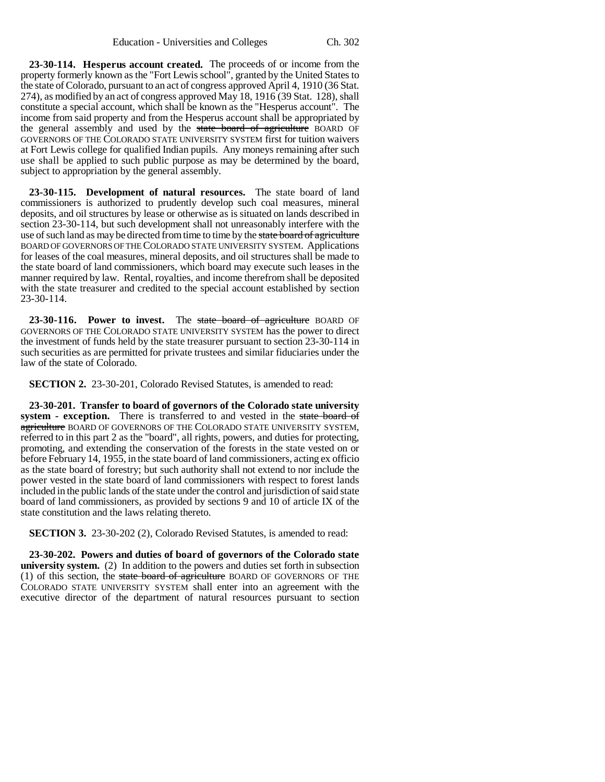**23-30-114. Hesperus account created.** The proceeds of or income from the property formerly known as the "Fort Lewis school", granted by the United States to the state of Colorado, pursuant to an act of congress approved April 4, 1910 (36 Stat. 274), as modified by an act of congress approved May 18, 1916 (39 Stat. 128), shall constitute a special account, which shall be known as the "Hesperus account". The income from said property and from the Hesperus account shall be appropriated by the general assembly and used by the state board of agriculture BOARD OF GOVERNORS OF THE COLORADO STATE UNIVERSITY SYSTEM first for tuition waivers at Fort Lewis college for qualified Indian pupils. Any moneys remaining after such use shall be applied to such public purpose as may be determined by the board, subject to appropriation by the general assembly.

**23-30-115. Development of natural resources.** The state board of land commissioners is authorized to prudently develop such coal measures, mineral deposits, and oil structures by lease or otherwise as is situated on lands described in section 23-30-114, but such development shall not unreasonably interfere with the use of such land as may be directed from time to time by the state board of agriculture BOARD OF GOVERNORS OF THE COLORADO STATE UNIVERSITY SYSTEM. Applications for leases of the coal measures, mineral deposits, and oil structures shall be made to the state board of land commissioners, which board may execute such leases in the manner required by law. Rental, royalties, and income therefrom shall be deposited with the state treasurer and credited to the special account established by section 23-30-114.

**23-30-116. Power to invest.** The state board of agriculture BOARD OF GOVERNORS OF THE COLORADO STATE UNIVERSITY SYSTEM has the power to direct the investment of funds held by the state treasurer pursuant to section 23-30-114 in such securities as are permitted for private trustees and similar fiduciaries under the law of the state of Colorado.

**SECTION 2.** 23-30-201, Colorado Revised Statutes, is amended to read:

**23-30-201. Transfer to board of governors of the Colorado state university system - exception.** There is transferred to and vested in the state board of agriculture BOARD OF GOVERNORS OF THE COLORADO STATE UNIVERSITY SYSTEM, referred to in this part 2 as the "board", all rights, powers, and duties for protecting, promoting, and extending the conservation of the forests in the state vested on or before February 14, 1955, in the state board of land commissioners, acting ex officio as the state board of forestry; but such authority shall not extend to nor include the power vested in the state board of land commissioners with respect to forest lands included in the public lands of the state under the control and jurisdiction of said state board of land commissioners, as provided by sections 9 and 10 of article IX of the state constitution and the laws relating thereto.

**SECTION 3.** 23-30-202 (2), Colorado Revised Statutes, is amended to read:

**23-30-202. Powers and duties of board of governors of the Colorado state university system.** (2) In addition to the powers and duties set forth in subsection (1) of this section, the state board of agriculture BOARD OF GOVERNORS OF THE COLORADO STATE UNIVERSITY SYSTEM shall enter into an agreement with the executive director of the department of natural resources pursuant to section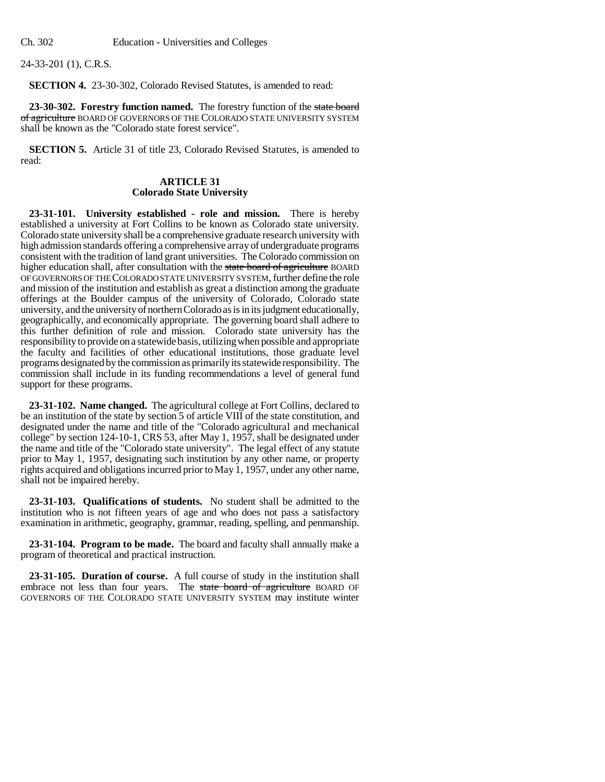24-33-201 (1), C.R.S.

**SECTION 4.** 23-30-302, Colorado Revised Statutes, is amended to read:

**23-30-302. Forestry function named.** The forestry function of the state board of agriculture BOARD OF GOVERNORS OF THE COLORADO STATE UNIVERSITY SYSTEM shall be known as the "Colorado state forest service".

**SECTION 5.** Article 31 of title 23, Colorado Revised Statutes, is amended to read:

## **ARTICLE 31 Colorado State University**

**23-31-101. University established - role and mission.** There is hereby established a university at Fort Collins to be known as Colorado state university. Colorado state university shall be a comprehensive graduate research university with high admission standards offering a comprehensive array of undergraduate programs consistent with the tradition of land grant universities. The Colorado commission on higher education shall, after consultation with the state board of agriculture BOARD OF GOVERNORS OF THE COLORADO STATE UNIVERSITY SYSTEM, further define the role and mission of the institution and establish as great a distinction among the graduate offerings at the Boulder campus of the university of Colorado, Colorado state university, and the university of northern Colorado as is in its judgment educationally, geographically, and economically appropriate. The governing board shall adhere to this further definition of role and mission. Colorado state university has the responsibility to provide on a statewide basis, utilizing when possible and appropriate the faculty and facilities of other educational institutions, those graduate level programs designated by the commission as primarily its statewide responsibility. The commission shall include in its funding recommendations a level of general fund support for these programs.

**23-31-102. Name changed.** The agricultural college at Fort Collins, declared to be an institution of the state by section 5 of article VIII of the state constitution, and designated under the name and title of the "Colorado agricultural and mechanical college" by section 124-10-1, CRS 53, after May 1, 1957, shall be designated under the name and title of the "Colorado state university". The legal effect of any statute prior to May 1, 1957, designating such institution by any other name, or property rights acquired and obligations incurred prior to May 1, 1957, under any other name, shall not be impaired hereby.

**23-31-103. Qualifications of students.** No student shall be admitted to the institution who is not fifteen years of age and who does not pass a satisfactory examination in arithmetic, geography, grammar, reading, spelling, and penmanship.

**23-31-104. Program to be made.** The board and faculty shall annually make a program of theoretical and practical instruction.

**23-31-105. Duration of course.** A full course of study in the institution shall embrace not less than four years. The state board of agriculture BOARD OF GOVERNORS OF THE COLORADO STATE UNIVERSITY SYSTEM may institute winter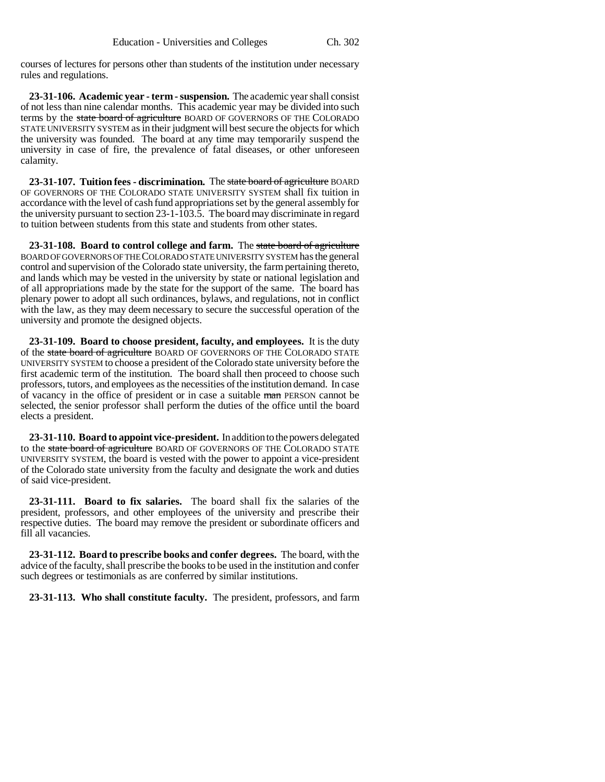courses of lectures for persons other than students of the institution under necessary rules and regulations.

**23-31-106. Academic year - term - suspension.** The academic year shall consist of not less than nine calendar months. This academic year may be divided into such terms by the state board of agriculture BOARD OF GOVERNORS OF THE COLORADO STATE UNIVERSITY SYSTEM as in their judgment will best secure the objects for which the university was founded. The board at any time may temporarily suspend the university in case of fire, the prevalence of fatal diseases, or other unforeseen calamity.

**23-31-107. Tuition fees - discrimination.** The state board of agriculture BOARD OF GOVERNORS OF THE COLORADO STATE UNIVERSITY SYSTEM shall fix tuition in accordance with the level of cash fund appropriations set by the general assembly for the university pursuant to section 23-1-103.5. The board may discriminate in regard to tuition between students from this state and students from other states.

**23-31-108. Board to control college and farm.** The state board of agriculture BOARD OF GOVERNORS OF THE COLORADO STATE UNIVERSITY SYSTEM has the general control and supervision of the Colorado state university, the farm pertaining thereto, and lands which may be vested in the university by state or national legislation and of all appropriations made by the state for the support of the same. The board has plenary power to adopt all such ordinances, bylaws, and regulations, not in conflict with the law, as they may deem necessary to secure the successful operation of the university and promote the designed objects.

**23-31-109. Board to choose president, faculty, and employees.** It is the duty of the state board of agriculture BOARD OF GOVERNORS OF THE COLORADO STATE UNIVERSITY SYSTEM to choose a president of the Colorado state university before the first academic term of the institution. The board shall then proceed to choose such professors, tutors, and employees as the necessities of the institution demand. In case of vacancy in the office of president or in case a suitable man PERSON cannot be selected, the senior professor shall perform the duties of the office until the board elects a president.

**23-31-110. Board to appoint vice-president.** In addition to the powers delegated to the state board of agriculture BOARD OF GOVERNORS OF THE COLORADO STATE UNIVERSITY SYSTEM, the board is vested with the power to appoint a vice-president of the Colorado state university from the faculty and designate the work and duties of said vice-president.

**23-31-111. Board to fix salaries.** The board shall fix the salaries of the president, professors, and other employees of the university and prescribe their respective duties. The board may remove the president or subordinate officers and fill all vacancies.

**23-31-112. Board to prescribe books and confer degrees.** The board, with the advice of the faculty, shall prescribe the books to be used in the institution and confer such degrees or testimonials as are conferred by similar institutions.

**23-31-113. Who shall constitute faculty.** The president, professors, and farm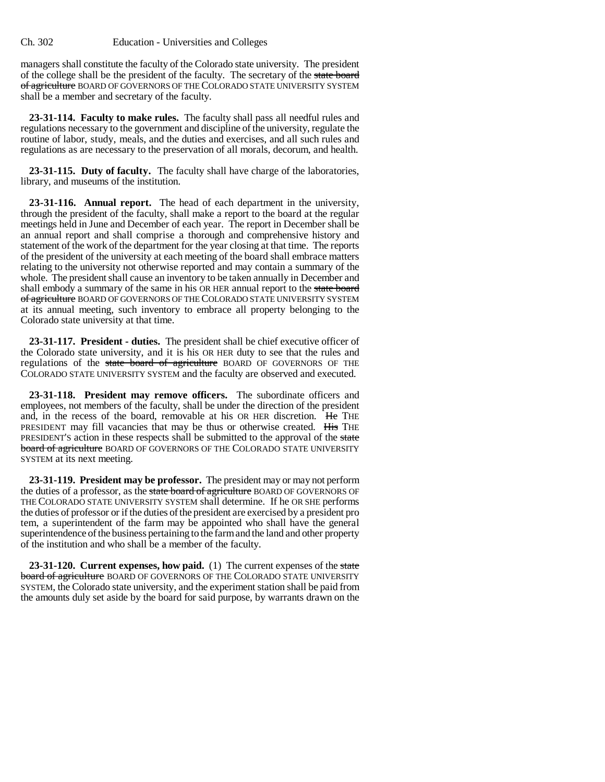managers shall constitute the faculty of the Colorado state university. The president of the college shall be the president of the faculty. The secretary of the state board of agriculture BOARD OF GOVERNORS OF THE COLORADO STATE UNIVERSITY SYSTEM shall be a member and secretary of the faculty.

**23-31-114. Faculty to make rules.** The faculty shall pass all needful rules and regulations necessary to the government and discipline of the university, regulate the routine of labor, study, meals, and the duties and exercises, and all such rules and regulations as are necessary to the preservation of all morals, decorum, and health.

**23-31-115. Duty of faculty.** The faculty shall have charge of the laboratories, library, and museums of the institution.

**23-31-116. Annual report.** The head of each department in the university, through the president of the faculty, shall make a report to the board at the regular meetings held in June and December of each year. The report in December shall be an annual report and shall comprise a thorough and comprehensive history and statement of the work of the department for the year closing at that time. The reports of the president of the university at each meeting of the board shall embrace matters relating to the university not otherwise reported and may contain a summary of the whole. The president shall cause an inventory to be taken annually in December and shall embody a summary of the same in his OR HER annual report to the state board of agriculture BOARD OF GOVERNORS OF THE COLORADO STATE UNIVERSITY SYSTEM at its annual meeting, such inventory to embrace all property belonging to the Colorado state university at that time.

**23-31-117. President - duties.** The president shall be chief executive officer of the Colorado state university, and it is his OR HER duty to see that the rules and regulations of the state board of agriculture BOARD OF GOVERNORS OF THE COLORADO STATE UNIVERSITY SYSTEM and the faculty are observed and executed.

**23-31-118. President may remove officers.** The subordinate officers and employees, not members of the faculty, shall be under the direction of the president and, in the recess of the board, removable at his OR HER discretion. He THE PRESIDENT may fill vacancies that may be thus or otherwise created. His THE PRESIDENT'S action in these respects shall be submitted to the approval of the state board of agriculture BOARD OF GOVERNORS OF THE COLORADO STATE UNIVERSITY SYSTEM at its next meeting.

**23-31-119. President may be professor.** The president may or may not perform the duties of a professor, as the state board of agriculture BOARD OF GOVERNORS OF THE COLORADO STATE UNIVERSITY SYSTEM shall determine. If he OR SHE performs the duties of professor or if the duties of the president are exercised by a president pro tem, a superintendent of the farm may be appointed who shall have the general superintendence of the business pertaining to the farm and the land and other property of the institution and who shall be a member of the faculty.

**23-31-120. Current expenses, how paid.** (1) The current expenses of the state board of agriculture BOARD OF GOVERNORS OF THE COLORADO STATE UNIVERSITY SYSTEM, the Colorado state university, and the experiment station shall be paid from the amounts duly set aside by the board for said purpose, by warrants drawn on the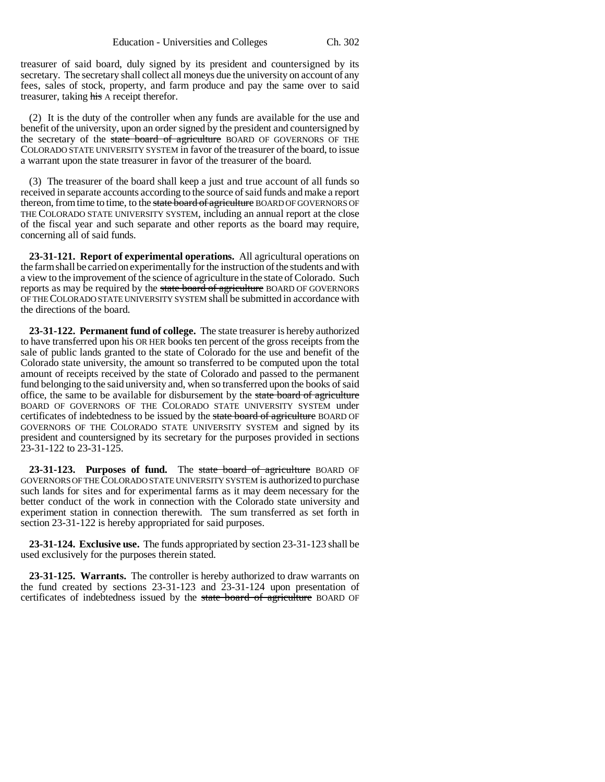treasurer of said board, duly signed by its president and countersigned by its secretary. The secretary shall collect all moneys due the university on account of any fees, sales of stock, property, and farm produce and pay the same over to said treasurer, taking his A receipt therefor.

(2) It is the duty of the controller when any funds are available for the use and benefit of the university, upon an order signed by the president and countersigned by the secretary of the state board of agriculture BOARD OF GOVERNORS OF THE COLORADO STATE UNIVERSITY SYSTEM in favor of the treasurer of the board, to issue a warrant upon the state treasurer in favor of the treasurer of the board.

(3) The treasurer of the board shall keep a just and true account of all funds so received in separate accounts according to the source of said funds and make a report thereon, from time to time, to the state board of agriculture BOARD OF GOVERNORS OF THE COLORADO STATE UNIVERSITY SYSTEM, including an annual report at the close of the fiscal year and such separate and other reports as the board may require, concerning all of said funds.

**23-31-121. Report of experimental operations.** All agricultural operations on the farm shall be carried on experimentally for the instruction of the students and with a view to the improvement of the science of agriculture in the state of Colorado. Such reports as may be required by the state board of agriculture BOARD OF GOVERNORS OF THE COLORADO STATE UNIVERSITY SYSTEM shall be submitted in accordance with the directions of the board.

**23-31-122. Permanent fund of college.** The state treasurer is hereby authorized to have transferred upon his OR HER books ten percent of the gross receipts from the sale of public lands granted to the state of Colorado for the use and benefit of the Colorado state university, the amount so transferred to be computed upon the total amount of receipts received by the state of Colorado and passed to the permanent fund belonging to the said university and, when so transferred upon the books of said office, the same to be available for disbursement by the state board of agriculture BOARD OF GOVERNORS OF THE COLORADO STATE UNIVERSITY SYSTEM under certificates of indebtedness to be issued by the state board of agriculture BOARD OF GOVERNORS OF THE COLORADO STATE UNIVERSITY SYSTEM and signed by its president and countersigned by its secretary for the purposes provided in sections 23-31-122 to 23-31-125.

**23-31-123. Purposes of fund.** The state board of agriculture BOARD OF GOVERNORS OF THE COLORADO STATE UNIVERSITY SYSTEM is authorized to purchase such lands for sites and for experimental farms as it may deem necessary for the better conduct of the work in connection with the Colorado state university and experiment station in connection therewith. The sum transferred as set forth in section 23-31-122 is hereby appropriated for said purposes.

**23-31-124. Exclusive use.** The funds appropriated by section 23-31-123 shall be used exclusively for the purposes therein stated.

**23-31-125. Warrants.** The controller is hereby authorized to draw warrants on the fund created by sections 23-31-123 and 23-31-124 upon presentation of certificates of indebtedness issued by the state board of agriculture BOARD OF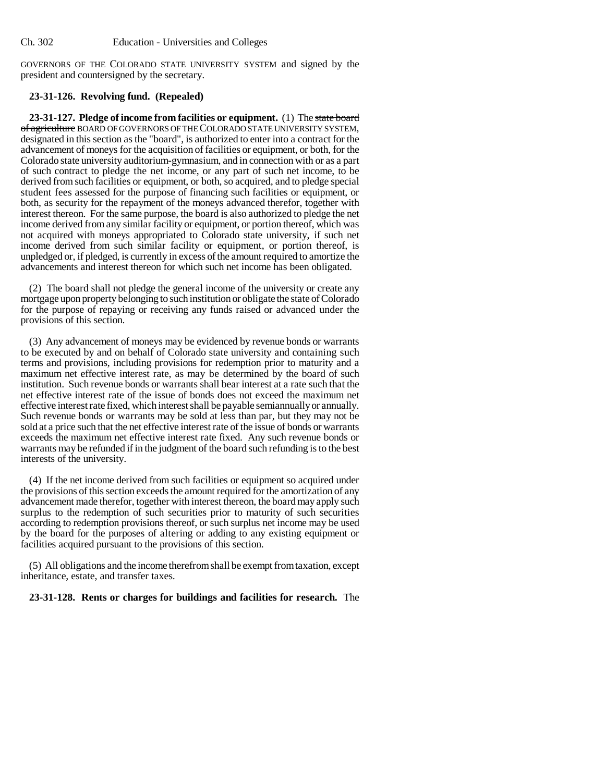GOVERNORS OF THE COLORADO STATE UNIVERSITY SYSTEM and signed by the president and countersigned by the secretary.

# **23-31-126. Revolving fund. (Repealed)**

**23-31-127. Pledge of income from facilities or equipment.** (1) The state board of agriculture BOARD OF GOVERNORS OF THE COLORADO STATE UNIVERSITY SYSTEM, designated in this section as the "board", is authorized to enter into a contract for the advancement of moneys for the acquisition of facilities or equipment, or both, for the Colorado state university auditorium-gymnasium, and in connection with or as a part of such contract to pledge the net income, or any part of such net income, to be derived from such facilities or equipment, or both, so acquired, and to pledge special student fees assessed for the purpose of financing such facilities or equipment, or both, as security for the repayment of the moneys advanced therefor, together with interest thereon. For the same purpose, the board is also authorized to pledge the net income derived from any similar facility or equipment, or portion thereof, which was not acquired with moneys appropriated to Colorado state university, if such net income derived from such similar facility or equipment, or portion thereof, is unpledged or, if pledged, is currently in excess of the amount required to amortize the advancements and interest thereon for which such net income has been obligated.

(2) The board shall not pledge the general income of the university or create any mortgage upon property belonging to such institution or obligate the state of Colorado for the purpose of repaying or receiving any funds raised or advanced under the provisions of this section.

(3) Any advancement of moneys may be evidenced by revenue bonds or warrants to be executed by and on behalf of Colorado state university and containing such terms and provisions, including provisions for redemption prior to maturity and a maximum net effective interest rate, as may be determined by the board of such institution. Such revenue bonds or warrants shall bear interest at a rate such that the net effective interest rate of the issue of bonds does not exceed the maximum net effective interest rate fixed, which interest shall be payable semiannually or annually. Such revenue bonds or warrants may be sold at less than par, but they may not be sold at a price such that the net effective interest rate of the issue of bonds or warrants exceeds the maximum net effective interest rate fixed. Any such revenue bonds or warrants may be refunded if in the judgment of the board such refunding is to the best interests of the university.

(4) If the net income derived from such facilities or equipment so acquired under the provisions of this section exceeds the amount required for the amortization of any advancement made therefor, together with interest thereon, the board may apply such surplus to the redemption of such securities prior to maturity of such securities according to redemption provisions thereof, or such surplus net income may be used by the board for the purposes of altering or adding to any existing equipment or facilities acquired pursuant to the provisions of this section.

(5) All obligations and the income therefrom shall be exempt from taxation, except inheritance, estate, and transfer taxes.

# **23-31-128. Rents or charges for buildings and facilities for research.** The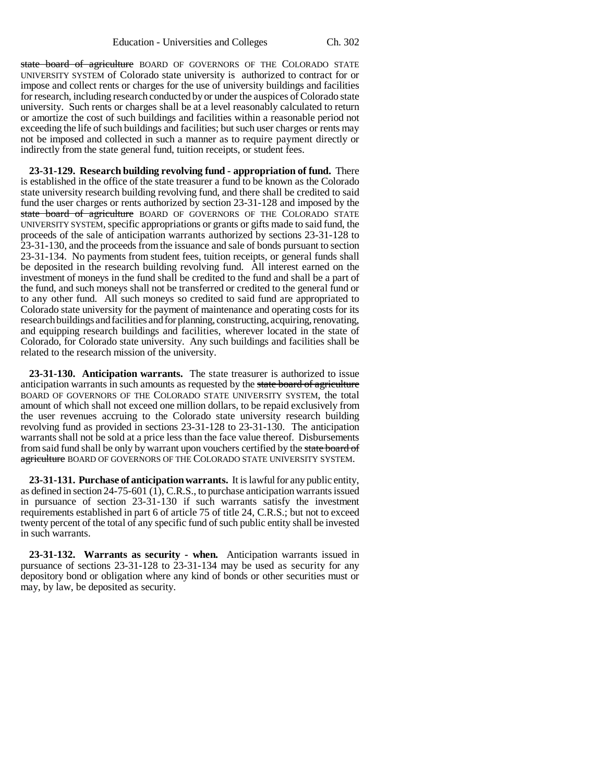state board of agriculture BOARD OF GOVERNORS OF THE COLORADO STATE UNIVERSITY SYSTEM of Colorado state university is authorized to contract for or impose and collect rents or charges for the use of university buildings and facilities for research, including research conducted by or under the auspices of Colorado state university. Such rents or charges shall be at a level reasonably calculated to return or amortize the cost of such buildings and facilities within a reasonable period not exceeding the life of such buildings and facilities; but such user charges or rents may not be imposed and collected in such a manner as to require payment directly or indirectly from the state general fund, tuition receipts, or student fees.

**23-31-129. Research building revolving fund - appropriation of fund.** There is established in the office of the state treasurer a fund to be known as the Colorado state university research building revolving fund, and there shall be credited to said fund the user charges or rents authorized by section 23-31-128 and imposed by the state board of agriculture BOARD OF GOVERNORS OF THE COLORADO STATE UNIVERSITY SYSTEM, specific appropriations or grants or gifts made to said fund, the proceeds of the sale of anticipation warrants authorized by sections 23-31-128 to 23-31-130, and the proceeds from the issuance and sale of bonds pursuant to section 23-31-134. No payments from student fees, tuition receipts, or general funds shall be deposited in the research building revolving fund. All interest earned on the investment of moneys in the fund shall be credited to the fund and shall be a part of the fund, and such moneys shall not be transferred or credited to the general fund or to any other fund. All such moneys so credited to said fund are appropriated to Colorado state university for the payment of maintenance and operating costs for its research buildings and facilities and for planning, constructing, acquiring, renovating, and equipping research buildings and facilities, wherever located in the state of Colorado, for Colorado state university. Any such buildings and facilities shall be related to the research mission of the university.

**23-31-130. Anticipation warrants.** The state treasurer is authorized to issue anticipation warrants in such amounts as requested by the state board of agriculture BOARD OF GOVERNORS OF THE COLORADO STATE UNIVERSITY SYSTEM, the total amount of which shall not exceed one million dollars, to be repaid exclusively from the user revenues accruing to the Colorado state university research building revolving fund as provided in sections 23-31-128 to 23-31-130. The anticipation warrants shall not be sold at a price less than the face value thereof. Disbursements from said fund shall be only by warrant upon vouchers certified by the state board of agriculture BOARD OF GOVERNORS OF THE COLORADO STATE UNIVERSITY SYSTEM.

**23-31-131. Purchase of anticipation warrants.** It is lawful for any public entity, as defined in section 24-75-601 (1), C.R.S., to purchase anticipation warrants issued in pursuance of section 23-31-130 if such warrants satisfy the investment requirements established in part 6 of article 75 of title 24, C.R.S.; but not to exceed twenty percent of the total of any specific fund of such public entity shall be invested in such warrants.

**23-31-132. Warrants as security - when.** Anticipation warrants issued in pursuance of sections 23-31-128 to 23-31-134 may be used as security for any depository bond or obligation where any kind of bonds or other securities must or may, by law, be deposited as security.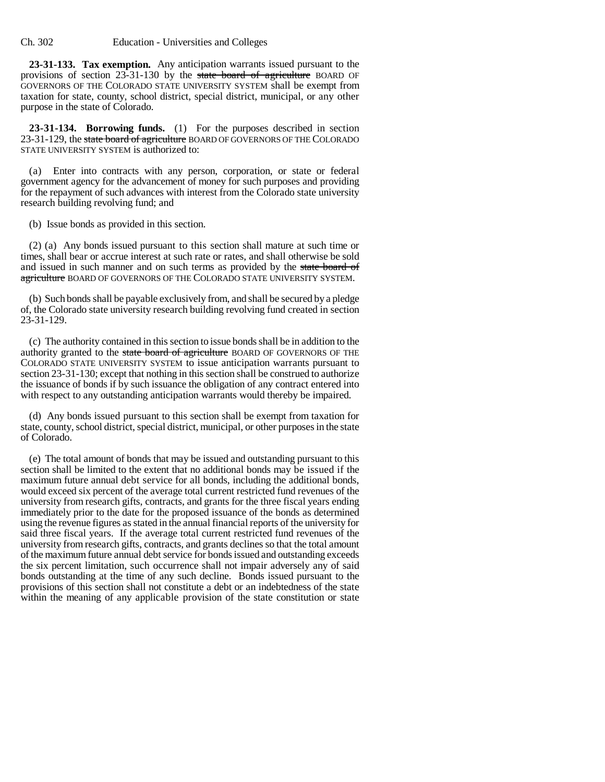#### Ch. 302 Education - Universities and Colleges

**23-31-133. Tax exemption.** Any anticipation warrants issued pursuant to the provisions of section 23-31-130 by the state board of agriculture BOARD OF GOVERNORS OF THE COLORADO STATE UNIVERSITY SYSTEM shall be exempt from taxation for state, county, school district, special district, municipal, or any other purpose in the state of Colorado.

**23-31-134. Borrowing funds.** (1) For the purposes described in section 23-31-129, the state board of agriculture BOARD OF GOVERNORS OF THE COLORADO STATE UNIVERSITY SYSTEM is authorized to:

(a) Enter into contracts with any person, corporation, or state or federal government agency for the advancement of money for such purposes and providing for the repayment of such advances with interest from the Colorado state university research building revolving fund; and

(b) Issue bonds as provided in this section.

(2) (a) Any bonds issued pursuant to this section shall mature at such time or times, shall bear or accrue interest at such rate or rates, and shall otherwise be sold and issued in such manner and on such terms as provided by the state board of agriculture BOARD OF GOVERNORS OF THE COLORADO STATE UNIVERSITY SYSTEM.

(b) Such bonds shall be payable exclusively from, and shall be secured by a pledge of, the Colorado state university research building revolving fund created in section 23-31-129.

(c) The authority contained in this section to issue bonds shall be in addition to the authority granted to the state board of agriculture BOARD OF GOVERNORS OF THE COLORADO STATE UNIVERSITY SYSTEM to issue anticipation warrants pursuant to section 23-31-130; except that nothing in this section shall be construed to authorize the issuance of bonds if by such issuance the obligation of any contract entered into with respect to any outstanding anticipation warrants would thereby be impaired.

(d) Any bonds issued pursuant to this section shall be exempt from taxation for state, county, school district, special district, municipal, or other purposes in the state of Colorado.

(e) The total amount of bonds that may be issued and outstanding pursuant to this section shall be limited to the extent that no additional bonds may be issued if the maximum future annual debt service for all bonds, including the additional bonds, would exceed six percent of the average total current restricted fund revenues of the university from research gifts, contracts, and grants for the three fiscal years ending immediately prior to the date for the proposed issuance of the bonds as determined using the revenue figures as stated in the annual financial reports of the university for said three fiscal years. If the average total current restricted fund revenues of the university from research gifts, contracts, and grants declines so that the total amount of the maximum future annual debt service for bonds issued and outstanding exceeds the six percent limitation, such occurrence shall not impair adversely any of said bonds outstanding at the time of any such decline. Bonds issued pursuant to the provisions of this section shall not constitute a debt or an indebtedness of the state within the meaning of any applicable provision of the state constitution or state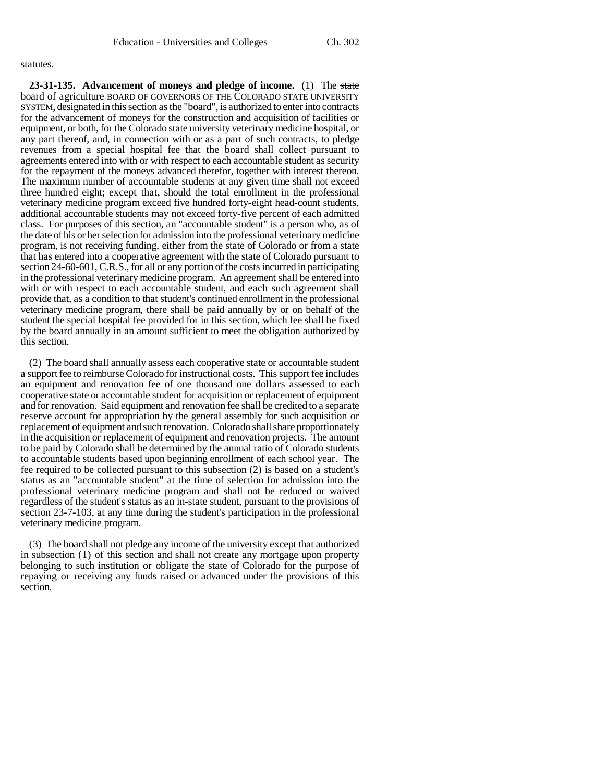#### statutes.

**23-31-135. Advancement of moneys and pledge of income.** (1) The state **board of agriculture** BOARD OF GOVERNORS OF THE COLORADO STATE UNIVERSITY SYSTEM, designated in this section as the "board", is authorized to enter into contracts for the advancement of moneys for the construction and acquisition of facilities or equipment, or both, for the Colorado state university veterinary medicine hospital, or any part thereof, and, in connection with or as a part of such contracts, to pledge revenues from a special hospital fee that the board shall collect pursuant to agreements entered into with or with respect to each accountable student as security for the repayment of the moneys advanced therefor, together with interest thereon. The maximum number of accountable students at any given time shall not exceed three hundred eight; except that, should the total enrollment in the professional veterinary medicine program exceed five hundred forty-eight head-count students, additional accountable students may not exceed forty-five percent of each admitted class. For purposes of this section, an "accountable student" is a person who, as of the date of his or her selection for admission into the professional veterinary medicine program, is not receiving funding, either from the state of Colorado or from a state that has entered into a cooperative agreement with the state of Colorado pursuant to section 24-60-601, C.R.S., for all or any portion of the costs incurred in participating in the professional veterinary medicine program. An agreement shall be entered into with or with respect to each accountable student, and each such agreement shall provide that, as a condition to that student's continued enrollment in the professional veterinary medicine program, there shall be paid annually by or on behalf of the student the special hospital fee provided for in this section, which fee shall be fixed by the board annually in an amount sufficient to meet the obligation authorized by this section.

(2) The board shall annually assess each cooperative state or accountable student a support fee to reimburse Colorado for instructional costs. This support fee includes an equipment and renovation fee of one thousand one dollars assessed to each cooperative state or accountable student for acquisition or replacement of equipment and for renovation. Said equipment and renovation fee shall be credited to a separate reserve account for appropriation by the general assembly for such acquisition or replacement of equipment and such renovation. Colorado shall share proportionately in the acquisition or replacement of equipment and renovation projects. The amount to be paid by Colorado shall be determined by the annual ratio of Colorado students to accountable students based upon beginning enrollment of each school year. The fee required to be collected pursuant to this subsection (2) is based on a student's status as an "accountable student" at the time of selection for admission into the professional veterinary medicine program and shall not be reduced or waived regardless of the student's status as an in-state student, pursuant to the provisions of section 23-7-103, at any time during the student's participation in the professional veterinary medicine program.

(3) The board shall not pledge any income of the university except that authorized in subsection (1) of this section and shall not create any mortgage upon property belonging to such institution or obligate the state of Colorado for the purpose of repaying or receiving any funds raised or advanced under the provisions of this section.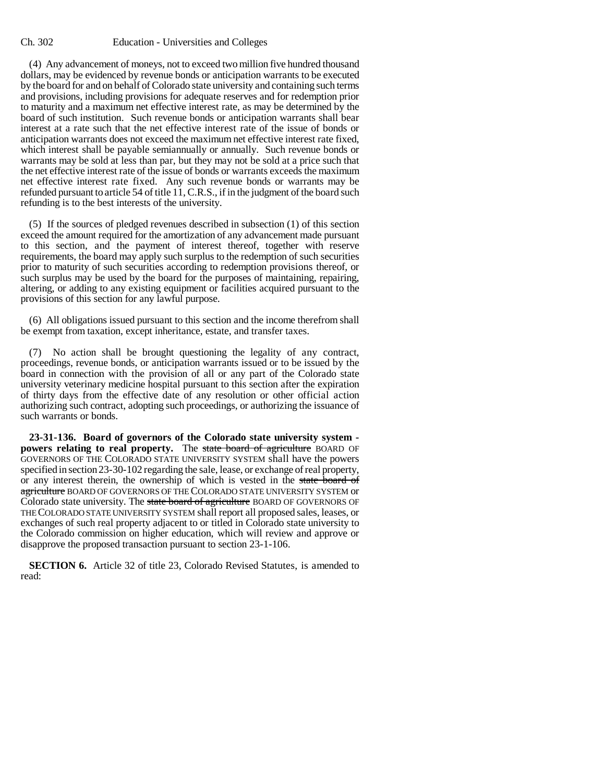#### Ch. 302 Education - Universities and Colleges

(4) Any advancement of moneys, not to exceed two million five hundred thousand dollars, may be evidenced by revenue bonds or anticipation warrants to be executed by the board for and on behalf of Colorado state university and containing such terms and provisions, including provisions for adequate reserves and for redemption prior to maturity and a maximum net effective interest rate, as may be determined by the board of such institution. Such revenue bonds or anticipation warrants shall bear interest at a rate such that the net effective interest rate of the issue of bonds or anticipation warrants does not exceed the maximum net effective interest rate fixed, which interest shall be payable semiannually or annually. Such revenue bonds or warrants may be sold at less than par, but they may not be sold at a price such that the net effective interest rate of the issue of bonds or warrants exceeds the maximum net effective interest rate fixed. Any such revenue bonds or warrants may be refunded pursuant to article 54 of title 11, C.R.S., if in the judgment of the board such refunding is to the best interests of the university.

(5) If the sources of pledged revenues described in subsection (1) of this section exceed the amount required for the amortization of any advancement made pursuant to this section, and the payment of interest thereof, together with reserve requirements, the board may apply such surplus to the redemption of such securities prior to maturity of such securities according to redemption provisions thereof, or such surplus may be used by the board for the purposes of maintaining, repairing, altering, or adding to any existing equipment or facilities acquired pursuant to the provisions of this section for any lawful purpose.

(6) All obligations issued pursuant to this section and the income therefrom shall be exempt from taxation, except inheritance, estate, and transfer taxes.

(7) No action shall be brought questioning the legality of any contract, proceedings, revenue bonds, or anticipation warrants issued or to be issued by the board in connection with the provision of all or any part of the Colorado state university veterinary medicine hospital pursuant to this section after the expiration of thirty days from the effective date of any resolution or other official action authorizing such contract, adopting such proceedings, or authorizing the issuance of such warrants or bonds.

**23-31-136. Board of governors of the Colorado state university system powers relating to real property.** The state board of agriculture BOARD OF GOVERNORS OF THE COLORADO STATE UNIVERSITY SYSTEM shall have the powers specified in section 23-30-102 regarding the sale, lease, or exchange of real property, or any interest therein, the ownership of which is vested in the state board of agriculture BOARD OF GOVERNORS OF THE COLORADO STATE UNIVERSITY SYSTEM or Colorado state university. The state board of agriculture BOARD OF GOVERNORS OF THE COLORADO STATE UNIVERSITY SYSTEM shall report all proposed sales, leases, or exchanges of such real property adjacent to or titled in Colorado state university to the Colorado commission on higher education, which will review and approve or disapprove the proposed transaction pursuant to section 23-1-106.

**SECTION 6.** Article 32 of title 23, Colorado Revised Statutes, is amended to read: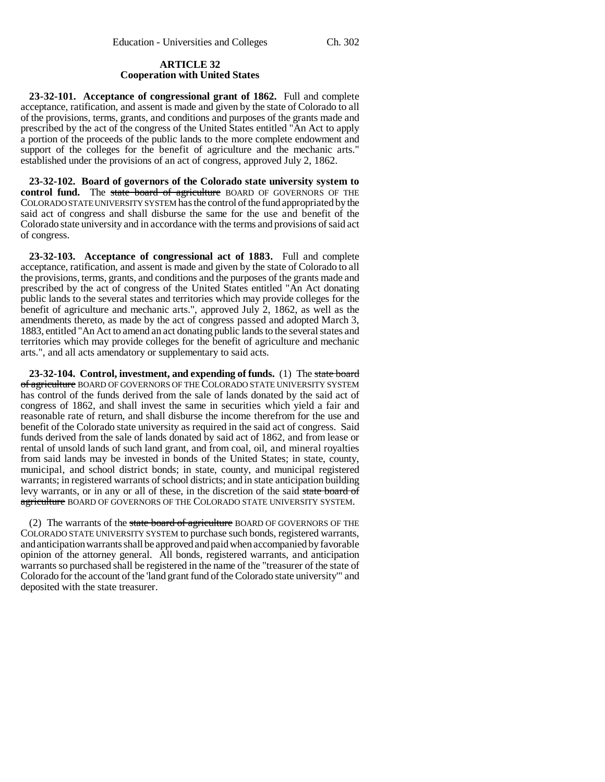# **ARTICLE 32 Cooperation with United States**

**23-32-101. Acceptance of congressional grant of 1862.** Full and complete acceptance, ratification, and assent is made and given by the state of Colorado to all of the provisions, terms, grants, and conditions and purposes of the grants made and prescribed by the act of the congress of the United States entitled "An Act to apply a portion of the proceeds of the public lands to the more complete endowment and support of the colleges for the benefit of agriculture and the mechanic arts." established under the provisions of an act of congress, approved July 2, 1862.

**23-32-102. Board of governors of the Colorado state university system to** control fund. The state board of agriculture BOARD OF GOVERNORS OF THE COLORADO STATE UNIVERSITY SYSTEM has the control of the fund appropriated by the said act of congress and shall disburse the same for the use and benefit of the Colorado state university and in accordance with the terms and provisions of said act of congress.

**23-32-103. Acceptance of congressional act of 1883.** Full and complete acceptance, ratification, and assent is made and given by the state of Colorado to all the provisions, terms, grants, and conditions and the purposes of the grants made and prescribed by the act of congress of the United States entitled "An Act donating public lands to the several states and territories which may provide colleges for the benefit of agriculture and mechanic arts.", approved July 2, 1862, as well as the amendments thereto, as made by the act of congress passed and adopted March 3, 1883, entitled "An Act to amend an act donating public lands to the several states and territories which may provide colleges for the benefit of agriculture and mechanic arts.", and all acts amendatory or supplementary to said acts.

**23-32-104. Control, investment, and expending of funds.** (1) The state board of agriculture BOARD OF GOVERNORS OF THE COLORADO STATE UNIVERSITY SYSTEM has control of the funds derived from the sale of lands donated by the said act of congress of 1862, and shall invest the same in securities which yield a fair and reasonable rate of return, and shall disburse the income therefrom for the use and benefit of the Colorado state university as required in the said act of congress. Said funds derived from the sale of lands donated by said act of 1862, and from lease or rental of unsold lands of such land grant, and from coal, oil, and mineral royalties from said lands may be invested in bonds of the United States; in state, county, municipal, and school district bonds; in state, county, and municipal registered warrants; in registered warrants of school districts; and in state anticipation building levy warrants, or in any or all of these, in the discretion of the said state board of agriculture BOARD OF GOVERNORS OF THE COLORADO STATE UNIVERSITY SYSTEM.

(2) The warrants of the state board of agriculture BOARD OF GOVERNORS OF THE COLORADO STATE UNIVERSITY SYSTEM to purchase such bonds, registered warrants, and anticipation warrants shall be approved and paid when accompanied by favorable opinion of the attorney general. All bonds, registered warrants, and anticipation warrants so purchased shall be registered in the name of the "treasurer of the state of Colorado for the account of the 'land grant fund of the Colorado state university'" and deposited with the state treasurer.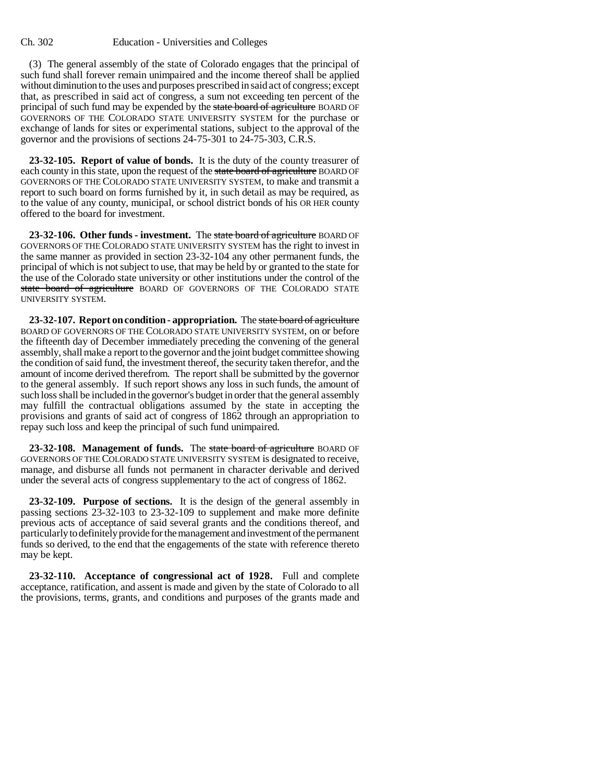(3) The general assembly of the state of Colorado engages that the principal of such fund shall forever remain unimpaired and the income thereof shall be applied without diminution to the uses and purposes prescribed in said act of congress; except that, as prescribed in said act of congress, a sum not exceeding ten percent of the principal of such fund may be expended by the state board of agriculture BOARD OF GOVERNORS OF THE COLORADO STATE UNIVERSITY SYSTEM for the purchase or exchange of lands for sites or experimental stations, subject to the approval of the governor and the provisions of sections 24-75-301 to 24-75-303, C.R.S.

**23-32-105. Report of value of bonds.** It is the duty of the county treasurer of each county in this state, upon the request of the state board of agriculture BOARD OF GOVERNORS OF THE COLORADO STATE UNIVERSITY SYSTEM, to make and transmit a report to such board on forms furnished by it, in such detail as may be required, as to the value of any county, municipal, or school district bonds of his OR HER county offered to the board for investment.

**23-32-106. Other funds - investment.** The state board of agriculture BOARD OF GOVERNORS OF THE COLORADO STATE UNIVERSITY SYSTEM has the right to invest in the same manner as provided in section 23-32-104 any other permanent funds, the principal of which is not subject to use, that may be held by or granted to the state for the use of the Colorado state university or other institutions under the control of the state board of agriculture BOARD OF GOVERNORS OF THE COLORADO STATE UNIVERSITY SYSTEM.

**23-32-107. Report on condition - appropriation.** The state board of agriculture BOARD OF GOVERNORS OF THE COLORADO STATE UNIVERSITY SYSTEM, on or before the fifteenth day of December immediately preceding the convening of the general assembly, shall make a report to the governor and the joint budget committee showing the condition of said fund, the investment thereof, the security taken therefor, and the amount of income derived therefrom. The report shall be submitted by the governor to the general assembly. If such report shows any loss in such funds, the amount of such loss shall be included in the governor's budget in order that the general assembly may fulfill the contractual obligations assumed by the state in accepting the provisions and grants of said act of congress of 1862 through an appropriation to repay such loss and keep the principal of such fund unimpaired.

**23-32-108. Management of funds.** The state board of agriculture BOARD OF GOVERNORS OF THE COLORADO STATE UNIVERSITY SYSTEM is designated to receive, manage, and disburse all funds not permanent in character derivable and derived under the several acts of congress supplementary to the act of congress of 1862.

**23-32-109. Purpose of sections.** It is the design of the general assembly in passing sections 23-32-103 to 23-32-109 to supplement and make more definite previous acts of acceptance of said several grants and the conditions thereof, and particularly to definitely provide for the management and investment of the permanent funds so derived, to the end that the engagements of the state with reference thereto may be kept.

**23-32-110. Acceptance of congressional act of 1928.** Full and complete acceptance, ratification, and assent is made and given by the state of Colorado to all the provisions, terms, grants, and conditions and purposes of the grants made and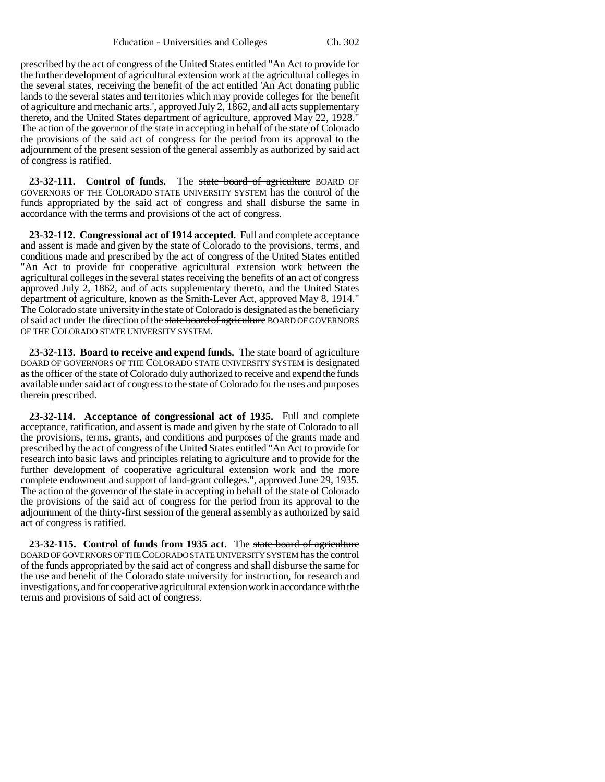prescribed by the act of congress of the United States entitled "An Act to provide for the further development of agricultural extension work at the agricultural colleges in the several states, receiving the benefit of the act entitled 'An Act donating public lands to the several states and territories which may provide colleges for the benefit of agriculture and mechanic arts.', approved July 2, 1862, and all acts supplementary thereto, and the United States department of agriculture, approved May 22, 1928." The action of the governor of the state in accepting in behalf of the state of Colorado the provisions of the said act of congress for the period from its approval to the adjournment of the present session of the general assembly as authorized by said act of congress is ratified.

**23-32-111.** Control of funds. The state board of agriculture BOARD OF GOVERNORS OF THE COLORADO STATE UNIVERSITY SYSTEM has the control of the funds appropriated by the said act of congress and shall disburse the same in accordance with the terms and provisions of the act of congress.

**23-32-112. Congressional act of 1914 accepted.** Full and complete acceptance and assent is made and given by the state of Colorado to the provisions, terms, and conditions made and prescribed by the act of congress of the United States entitled "An Act to provide for cooperative agricultural extension work between the agricultural colleges in the several states receiving the benefits of an act of congress approved July 2, 1862, and of acts supplementary thereto, and the United States department of agriculture, known as the Smith-Lever Act, approved May 8, 1914." The Colorado state university in the state of Colorado is designated as the beneficiary of said act under the direction of the state board of agriculture BOARD OF GOVERNORS OF THE COLORADO STATE UNIVERSITY SYSTEM.

**23-32-113. Board to receive and expend funds.** The state board of agriculture BOARD OF GOVERNORS OF THE COLORADO STATE UNIVERSITY SYSTEM is designated as the officer of the state of Colorado duly authorized to receive and expend the funds available under said act of congress to the state of Colorado for the uses and purposes therein prescribed.

**23-32-114. Acceptance of congressional act of 1935.** Full and complete acceptance, ratification, and assent is made and given by the state of Colorado to all the provisions, terms, grants, and conditions and purposes of the grants made and prescribed by the act of congress of the United States entitled "An Act to provide for research into basic laws and principles relating to agriculture and to provide for the further development of cooperative agricultural extension work and the more complete endowment and support of land-grant colleges.", approved June 29, 1935. The action of the governor of the state in accepting in behalf of the state of Colorado the provisions of the said act of congress for the period from its approval to the adjournment of the thirty-first session of the general assembly as authorized by said act of congress is ratified.

**23-32-115. Control of funds from 1935 act.** The state board of agriculture BOARD OF GOVERNORS OF THE COLORADO STATE UNIVERSITY SYSTEM has the control of the funds appropriated by the said act of congress and shall disburse the same for the use and benefit of the Colorado state university for instruction, for research and investigations, and for cooperative agricultural extension work in accordance with the terms and provisions of said act of congress.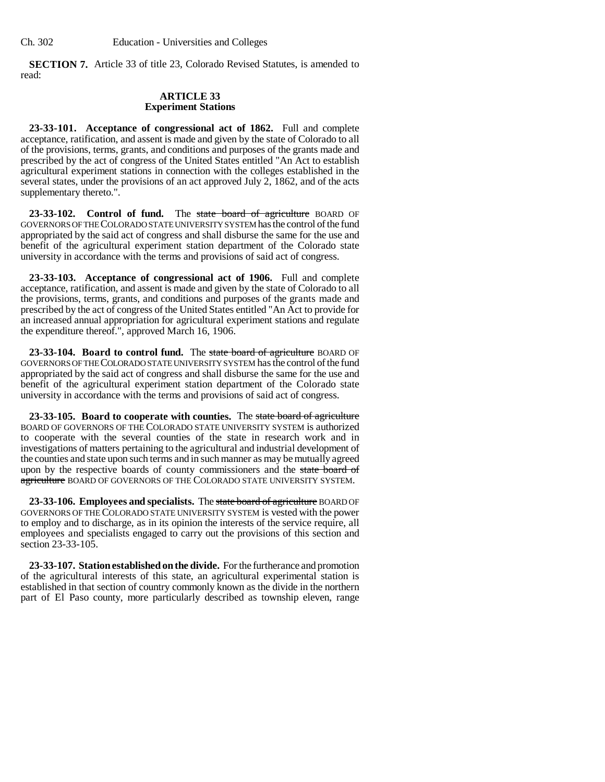**SECTION 7.** Article 33 of title 23, Colorado Revised Statutes, is amended to read:

### **ARTICLE 33 Experiment Stations**

**23-33-101. Acceptance of congressional act of 1862.** Full and complete acceptance, ratification, and assent is made and given by the state of Colorado to all of the provisions, terms, grants, and conditions and purposes of the grants made and prescribed by the act of congress of the United States entitled "An Act to establish agricultural experiment stations in connection with the colleges established in the several states, under the provisions of an act approved July 2, 1862, and of the acts supplementary thereto.".

23-33-102. Control of fund. The state board of agriculture BOARD OF GOVERNORS OF THE COLORADO STATE UNIVERSITY SYSTEM has the control of the fund appropriated by the said act of congress and shall disburse the same for the use and benefit of the agricultural experiment station department of the Colorado state university in accordance with the terms and provisions of said act of congress.

**23-33-103. Acceptance of congressional act of 1906.** Full and complete acceptance, ratification, and assent is made and given by the state of Colorado to all the provisions, terms, grants, and conditions and purposes of the grants made and prescribed by the act of congress of the United States entitled "An Act to provide for an increased annual appropriation for agricultural experiment stations and regulate the expenditure thereof.", approved March 16, 1906.

**23-33-104. Board to control fund.** The state board of agriculture BOARD OF GOVERNORS OF THE COLORADO STATE UNIVERSITY SYSTEM has the control of the fund appropriated by the said act of congress and shall disburse the same for the use and benefit of the agricultural experiment station department of the Colorado state university in accordance with the terms and provisions of said act of congress.

**23-33-105. Board to cooperate with counties.** The state board of agriculture BOARD OF GOVERNORS OF THE COLORADO STATE UNIVERSITY SYSTEM is authorized to cooperate with the several counties of the state in research work and in investigations of matters pertaining to the agricultural and industrial development of the counties and state upon such terms and in such manner as may be mutually agreed upon by the respective boards of county commissioners and the state board of agriculture BOARD OF GOVERNORS OF THE COLORADO STATE UNIVERSITY SYSTEM.

**23-33-106. Employees and specialists.** The state board of agriculture BOARD OF GOVERNORS OF THE COLORADO STATE UNIVERSITY SYSTEM is vested with the power to employ and to discharge, as in its opinion the interests of the service require, all employees and specialists engaged to carry out the provisions of this section and section 23-33-105.

**23-33-107. Station established on the divide.** For the furtherance and promotion of the agricultural interests of this state, an agricultural experimental station is established in that section of country commonly known as the divide in the northern part of El Paso county, more particularly described as township eleven, range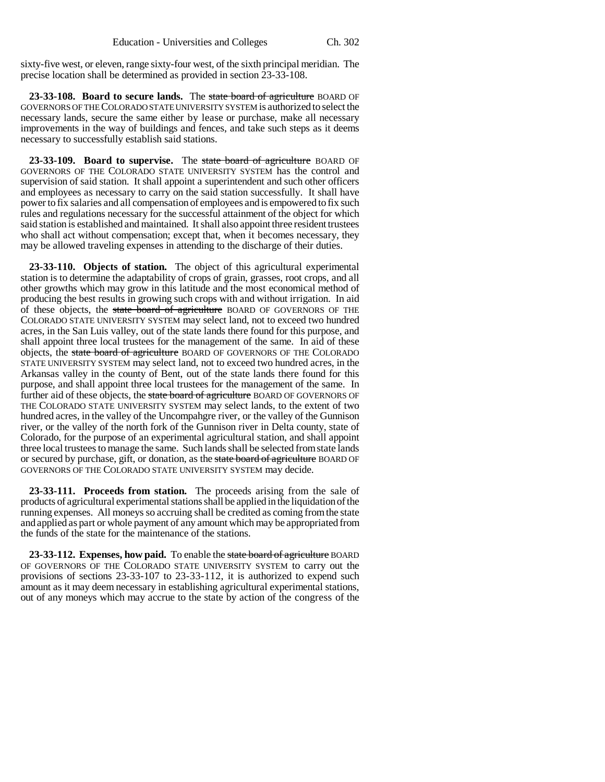sixty-five west, or eleven, range sixty-four west, of the sixth principal meridian. The precise location shall be determined as provided in section 23-33-108.

**23-33-108. Board to secure lands.** The state board of agriculture BOARD OF GOVERNORS OF THE COLORADO STATE UNIVERSITY SYSTEM is authorized to select the necessary lands, secure the same either by lease or purchase, make all necessary improvements in the way of buildings and fences, and take such steps as it deems necessary to successfully establish said stations.

23-33-109. Board to supervise. The state board of agriculture BOARD OF GOVERNORS OF THE COLORADO STATE UNIVERSITY SYSTEM has the control and supervision of said station. It shall appoint a superintendent and such other officers and employees as necessary to carry on the said station successfully. It shall have power to fix salaries and all compensation of employees and is empowered to fix such rules and regulations necessary for the successful attainment of the object for which said station is established and maintained. It shall also appoint three resident trustees who shall act without compensation; except that, when it becomes necessary, they may be allowed traveling expenses in attending to the discharge of their duties.

**23-33-110. Objects of station.** The object of this agricultural experimental station is to determine the adaptability of crops of grain, grasses, root crops, and all other growths which may grow in this latitude and the most economical method of producing the best results in growing such crops with and without irrigation. In aid of these objects, the state board of agriculture BOARD OF GOVERNORS OF THE COLORADO STATE UNIVERSITY SYSTEM may select land, not to exceed two hundred acres, in the San Luis valley, out of the state lands there found for this purpose, and shall appoint three local trustees for the management of the same. In aid of these objects, the state board of agriculture BOARD OF GOVERNORS OF THE COLORADO STATE UNIVERSITY SYSTEM may select land, not to exceed two hundred acres, in the Arkansas valley in the county of Bent, out of the state lands there found for this purpose, and shall appoint three local trustees for the management of the same. In further aid of these objects, the state board of agriculture BOARD OF GOVERNORS OF THE COLORADO STATE UNIVERSITY SYSTEM may select lands, to the extent of two hundred acres, in the valley of the Uncompahgre river, or the valley of the Gunnison river, or the valley of the north fork of the Gunnison river in Delta county, state of Colorado, for the purpose of an experimental agricultural station, and shall appoint three local trustees to manage the same. Such lands shall be selected from state lands or secured by purchase, gift, or donation, as the state board of agriculture BOARD OF GOVERNORS OF THE COLORADO STATE UNIVERSITY SYSTEM may decide.

**23-33-111. Proceeds from station.** The proceeds arising from the sale of products of agricultural experimental stations shall be applied in the liquidation of the running expenses. All moneys so accruing shall be credited as coming from the state and applied as part or whole payment of any amount which may be appropriated from the funds of the state for the maintenance of the stations.

**23-33-112. Expenses, how paid.** To enable the state board of agriculture BOARD OF GOVERNORS OF THE COLORADO STATE UNIVERSITY SYSTEM to carry out the provisions of sections 23-33-107 to 23-33-112, it is authorized to expend such amount as it may deem necessary in establishing agricultural experimental stations, out of any moneys which may accrue to the state by action of the congress of the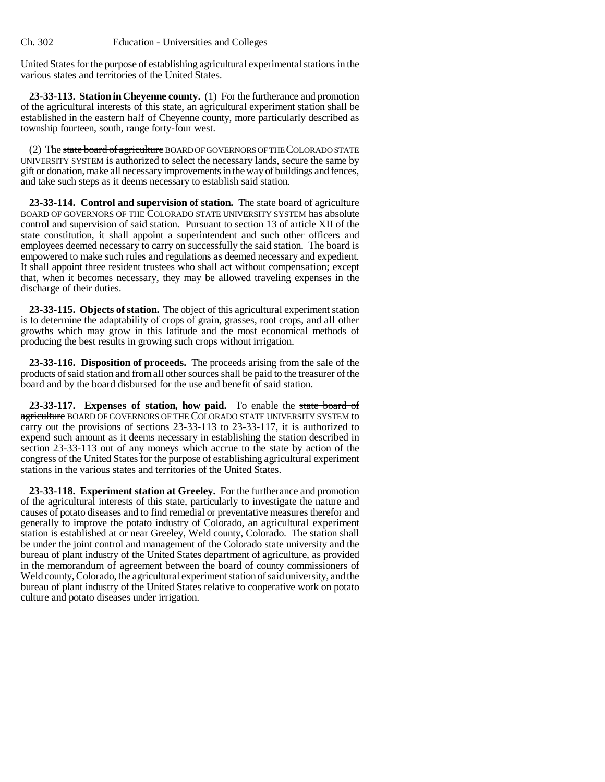United States for the purpose of establishing agricultural experimental stations in the various states and territories of the United States.

**23-33-113. Station in Cheyenne county.** (1) For the furtherance and promotion of the agricultural interests of this state, an agricultural experiment station shall be established in the eastern half of Cheyenne county, more particularly described as township fourteen, south, range forty-four west.

(2) The state board of agriculture BOARD OF GOVERNORS OF THE COLORADO STATE UNIVERSITY SYSTEM is authorized to select the necessary lands, secure the same by gift or donation, make all necessary improvements in the way of buildings and fences, and take such steps as it deems necessary to establish said station.

**23-33-114. Control and supervision of station.** The state board of agriculture BOARD OF GOVERNORS OF THE COLORADO STATE UNIVERSITY SYSTEM has absolute control and supervision of said station. Pursuant to section 13 of article XII of the state constitution, it shall appoint a superintendent and such other officers and employees deemed necessary to carry on successfully the said station. The board is empowered to make such rules and regulations as deemed necessary and expedient. It shall appoint three resident trustees who shall act without compensation; except that, when it becomes necessary, they may be allowed traveling expenses in the discharge of their duties.

**23-33-115. Objects of station.** The object of this agricultural experiment station is to determine the adaptability of crops of grain, grasses, root crops, and all other growths which may grow in this latitude and the most economical methods of producing the best results in growing such crops without irrigation.

**23-33-116. Disposition of proceeds.** The proceeds arising from the sale of the products of said station and from all other sources shall be paid to the treasurer of the board and by the board disbursed for the use and benefit of said station.

**23-33-117. Expenses of station, how paid.** To enable the state board of agriculture BOARD OF GOVERNORS OF THE COLORADO STATE UNIVERSITY SYSTEM to carry out the provisions of sections 23-33-113 to 23-33-117, it is authorized to expend such amount as it deems necessary in establishing the station described in section 23-33-113 out of any moneys which accrue to the state by action of the congress of the United States for the purpose of establishing agricultural experiment stations in the various states and territories of the United States.

**23-33-118. Experiment station at Greeley.** For the furtherance and promotion of the agricultural interests of this state, particularly to investigate the nature and causes of potato diseases and to find remedial or preventative measures therefor and generally to improve the potato industry of Colorado, an agricultural experiment station is established at or near Greeley, Weld county, Colorado. The station shall be under the joint control and management of the Colorado state university and the bureau of plant industry of the United States department of agriculture, as provided in the memorandum of agreement between the board of county commissioners of Weld county, Colorado, the agricultural experiment station of said university, and the bureau of plant industry of the United States relative to cooperative work on potato culture and potato diseases under irrigation.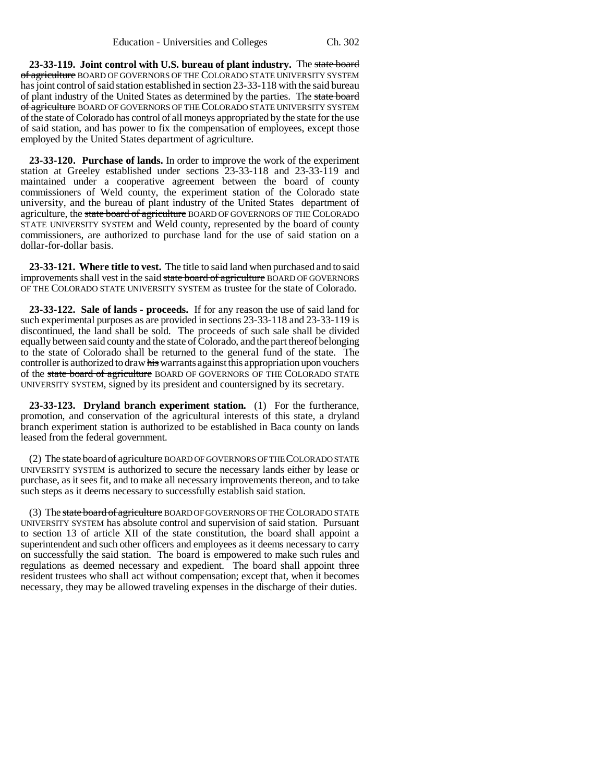**23-33-119. Joint control with U.S. bureau of plant industry.** The state board of agriculture BOARD OF GOVERNORS OF THE COLORADO STATE UNIVERSITY SYSTEM has joint control of said station established in section 23-33-118 with the said bureau of plant industry of the United States as determined by the parties. The state board of agriculture BOARD OF GOVERNORS OF THE COLORADO STATE UNIVERSITY SYSTEM of the state of Colorado has control of all moneys appropriated by the state for the use of said station, and has power to fix the compensation of employees, except those employed by the United States department of agriculture.

**23-33-120. Purchase of lands.** In order to improve the work of the experiment station at Greeley established under sections 23-33-118 and 23-33-119 and maintained under a cooperative agreement between the board of county commissioners of Weld county, the experiment station of the Colorado state university, and the bureau of plant industry of the United States department of agriculture, the state board of agriculture BOARD OF GOVERNORS OF THE COLORADO STATE UNIVERSITY SYSTEM and Weld county, represented by the board of county commissioners, are authorized to purchase land for the use of said station on a dollar-for-dollar basis.

**23-33-121. Where title to vest.** The title to said land when purchased and to said improvements shall vest in the said state board of agriculture BOARD OF GOVERNORS OF THE COLORADO STATE UNIVERSITY SYSTEM as trustee for the state of Colorado.

**23-33-122. Sale of lands - proceeds.** If for any reason the use of said land for such experimental purposes as are provided in sections 23-33-118 and 23-33-119 is discontinued, the land shall be sold. The proceeds of such sale shall be divided equally between said county and the state of Colorado, and the part thereof belonging to the state of Colorado shall be returned to the general fund of the state. The controller is authorized to draw his warrants against this appropriation upon vouchers of the state board of agriculture BOARD OF GOVERNORS OF THE COLORADO STATE UNIVERSITY SYSTEM, signed by its president and countersigned by its secretary.

**23-33-123. Dryland branch experiment station.** (1) For the furtherance, promotion, and conservation of the agricultural interests of this state, a dryland branch experiment station is authorized to be established in Baca county on lands leased from the federal government.

(2) The state board of agriculture BOARD OF GOVERNORS OF THE COLORADO STATE UNIVERSITY SYSTEM is authorized to secure the necessary lands either by lease or purchase, as it sees fit, and to make all necessary improvements thereon, and to take such steps as it deems necessary to successfully establish said station.

(3) The state board of agriculture BOARD OF GOVERNORS OF THE COLORADO STATE UNIVERSITY SYSTEM has absolute control and supervision of said station. Pursuant to section 13 of article XII of the state constitution, the board shall appoint a superintendent and such other officers and employees as it deems necessary to carry on successfully the said station. The board is empowered to make such rules and regulations as deemed necessary and expedient. The board shall appoint three resident trustees who shall act without compensation; except that, when it becomes necessary, they may be allowed traveling expenses in the discharge of their duties.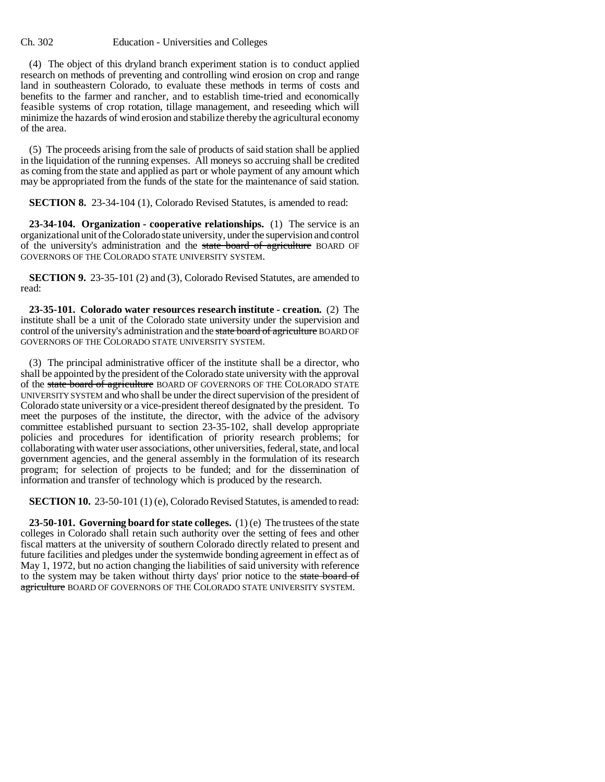#### Ch. 302 Education - Universities and Colleges

(4) The object of this dryland branch experiment station is to conduct applied research on methods of preventing and controlling wind erosion on crop and range land in southeastern Colorado, to evaluate these methods in terms of costs and benefits to the farmer and rancher, and to establish time-tried and economically feasible systems of crop rotation, tillage management, and reseeding which will minimize the hazards of wind erosion and stabilize thereby the agricultural economy of the area.

(5) The proceeds arising from the sale of products of said station shall be applied in the liquidation of the running expenses. All moneys so accruing shall be credited as coming from the state and applied as part or whole payment of any amount which may be appropriated from the funds of the state for the maintenance of said station.

**SECTION 8.** 23-34-104 (1), Colorado Revised Statutes, is amended to read:

**23-34-104. Organization - cooperative relationships.** (1) The service is an organizational unit of the Colorado state university, under the supervision and control of the university's administration and the state board of agriculture BOARD OF GOVERNORS OF THE COLORADO STATE UNIVERSITY SYSTEM.

**SECTION 9.** 23-35-101 (2) and (3), Colorado Revised Statutes, are amended to read:

**23-35-101. Colorado water resources research institute - creation.** (2) The institute shall be a unit of the Colorado state university under the supervision and control of the university's administration and the state board of agriculture BOARD OF GOVERNORS OF THE COLORADO STATE UNIVERSITY SYSTEM.

(3) The principal administrative officer of the institute shall be a director, who shall be appointed by the president of the Colorado state university with the approval of the state board of agriculture BOARD OF GOVERNORS OF THE COLORADO STATE UNIVERSITY SYSTEM and who shall be under the direct supervision of the president of Colorado state university or a vice-president thereof designated by the president. To meet the purposes of the institute, the director, with the advice of the advisory committee established pursuant to section 23-35-102, shall develop appropriate policies and procedures for identification of priority research problems; for collaborating with water user associations, other universities, federal, state, and local government agencies, and the general assembly in the formulation of its research program; for selection of projects to be funded; and for the dissemination of information and transfer of technology which is produced by the research.

**SECTION 10.** 23-50-101 (1) (e), Colorado Revised Statutes, is amended to read:

**23-50-101. Governing board for state colleges.** (1) (e) The trustees of the state colleges in Colorado shall retain such authority over the setting of fees and other fiscal matters at the university of southern Colorado directly related to present and future facilities and pledges under the systemwide bonding agreement in effect as of May 1, 1972, but no action changing the liabilities of said university with reference to the system may be taken without thirty days' prior notice to the state board of agriculture BOARD OF GOVERNORS OF THE COLORADO STATE UNIVERSITY SYSTEM.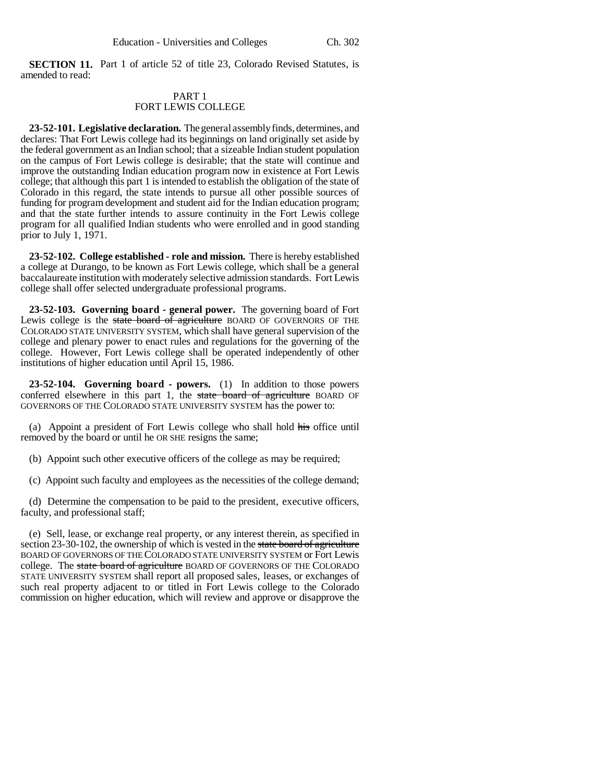**SECTION 11.** Part 1 of article 52 of title 23, Colorado Revised Statutes, is amended to read:

# PART 1 FORT LEWIS COLLEGE

**23-52-101. Legislative declaration.** The general assembly finds, determines, and declares: That Fort Lewis college had its beginnings on land originally set aside by the federal government as an Indian school; that a sizeable Indian student population on the campus of Fort Lewis college is desirable; that the state will continue and improve the outstanding Indian education program now in existence at Fort Lewis college; that although this part 1 is intended to establish the obligation of the state of Colorado in this regard, the state intends to pursue all other possible sources of funding for program development and student aid for the Indian education program; and that the state further intends to assure continuity in the Fort Lewis college program for all qualified Indian students who were enrolled and in good standing prior to July 1, 1971.

**23-52-102. College established - role and mission.** There is hereby established a college at Durango, to be known as Fort Lewis college, which shall be a general baccalaureate institution with moderately selective admission standards. Fort Lewis college shall offer selected undergraduate professional programs.

**23-52-103. Governing board - general power.** The governing board of Fort Lewis college is the state board of agriculture BOARD OF GOVERNORS OF THE COLORADO STATE UNIVERSITY SYSTEM, which shall have general supervision of the college and plenary power to enact rules and regulations for the governing of the college. However, Fort Lewis college shall be operated independently of other institutions of higher education until April 15, 1986.

**23-52-104. Governing board - powers.** (1) In addition to those powers conferred elsewhere in this part 1, the state board of agriculture BOARD OF GOVERNORS OF THE COLORADO STATE UNIVERSITY SYSTEM has the power to:

(a) Appoint a president of Fort Lewis college who shall hold his office until removed by the board or until he OR SHE resigns the same;

(b) Appoint such other executive officers of the college as may be required;

(c) Appoint such faculty and employees as the necessities of the college demand;

(d) Determine the compensation to be paid to the president, executive officers, faculty, and professional staff;

(e) Sell, lease, or exchange real property, or any interest therein, as specified in section 23-30-102, the ownership of which is vested in the state board of agriculture BOARD OF GOVERNORS OF THE COLORADO STATE UNIVERSITY SYSTEM or Fort Lewis college. The state board of agriculture BOARD OF GOVERNORS OF THE COLORADO STATE UNIVERSITY SYSTEM shall report all proposed sales, leases, or exchanges of such real property adjacent to or titled in Fort Lewis college to the Colorado commission on higher education, which will review and approve or disapprove the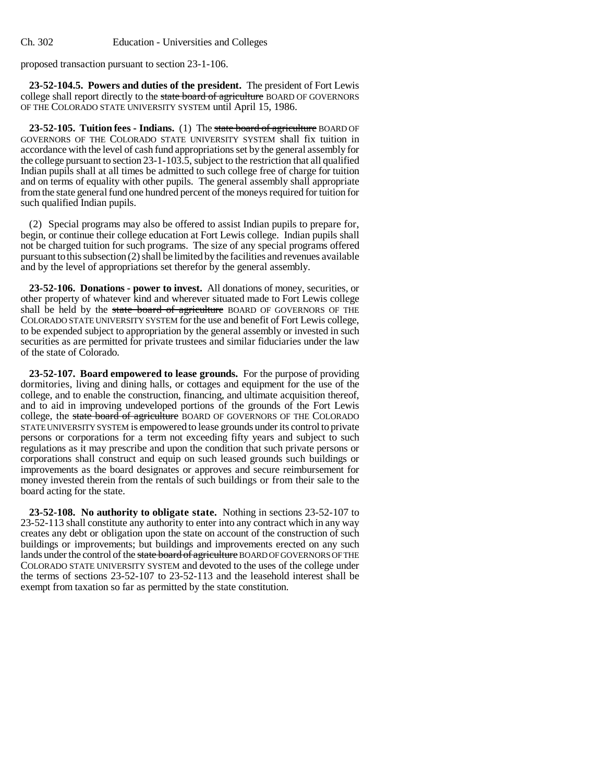proposed transaction pursuant to section 23-1-106.

**23-52-104.5. Powers and duties of the president.** The president of Fort Lewis college shall report directly to the state board of agriculture BOARD OF GOVERNORS OF THE COLORADO STATE UNIVERSITY SYSTEM until April 15, 1986.

23-52-105. Tuition fees - Indians. (1) The state board of agriculture BOARD OF GOVERNORS OF THE COLORADO STATE UNIVERSITY SYSTEM shall fix tuition in accordance with the level of cash fund appropriations set by the general assembly for the college pursuant to section 23-1-103.5, subject to the restriction that all qualified Indian pupils shall at all times be admitted to such college free of charge for tuition and on terms of equality with other pupils. The general assembly shall appropriate from the state general fund one hundred percent of the moneys required for tuition for such qualified Indian pupils.

(2) Special programs may also be offered to assist Indian pupils to prepare for, begin, or continue their college education at Fort Lewis college. Indian pupils shall not be charged tuition for such programs. The size of any special programs offered pursuant to this subsection (2) shall be limited by the facilities and revenues available and by the level of appropriations set therefor by the general assembly.

**23-52-106. Donations - power to invest.** All donations of money, securities, or other property of whatever kind and wherever situated made to Fort Lewis college shall be held by the state board of agriculture BOARD OF GOVERNORS OF THE COLORADO STATE UNIVERSITY SYSTEM for the use and benefit of Fort Lewis college, to be expended subject to appropriation by the general assembly or invested in such securities as are permitted for private trustees and similar fiduciaries under the law of the state of Colorado.

**23-52-107. Board empowered to lease grounds.** For the purpose of providing dormitories, living and dining halls, or cottages and equipment for the use of the college, and to enable the construction, financing, and ultimate acquisition thereof, and to aid in improving undeveloped portions of the grounds of the Fort Lewis college, the state board of agriculture BOARD OF GOVERNORS OF THE COLORADO STATE UNIVERSITY SYSTEM is empowered to lease grounds under its control to private persons or corporations for a term not exceeding fifty years and subject to such regulations as it may prescribe and upon the condition that such private persons or corporations shall construct and equip on such leased grounds such buildings or improvements as the board designates or approves and secure reimbursement for money invested therein from the rentals of such buildings or from their sale to the board acting for the state.

**23-52-108. No authority to obligate state.** Nothing in sections 23-52-107 to 23-52-113 shall constitute any authority to enter into any contract which in any way creates any debt or obligation upon the state on account of the construction of such buildings or improvements; but buildings and improvements erected on any such lands under the control of the state board of agriculture BOARD OF GOVERNORS OF THE COLORADO STATE UNIVERSITY SYSTEM and devoted to the uses of the college under the terms of sections 23-52-107 to 23-52-113 and the leasehold interest shall be exempt from taxation so far as permitted by the state constitution.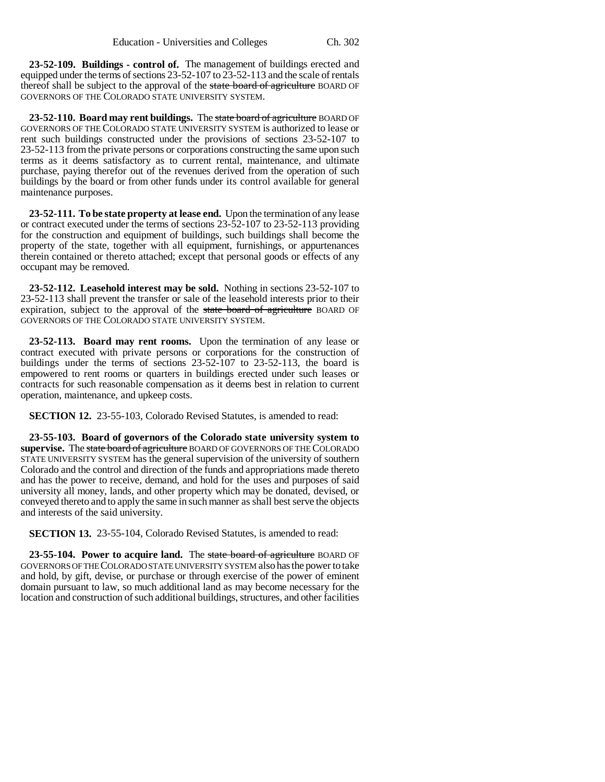**23-52-109. Buildings - control of.** The management of buildings erected and equipped under the terms of sections 23-52-107 to 23-52-113 and the scale of rentals thereof shall be subject to the approval of the state board of agriculture BOARD OF GOVERNORS OF THE COLORADO STATE UNIVERSITY SYSTEM.

**23-52-110. Board may rent buildings.** The state board of agriculture BOARD OF GOVERNORS OF THE COLORADO STATE UNIVERSITY SYSTEM is authorized to lease or rent such buildings constructed under the provisions of sections 23-52-107 to 23-52-113 from the private persons or corporations constructing the same upon such terms as it deems satisfactory as to current rental, maintenance, and ultimate purchase, paying therefor out of the revenues derived from the operation of such buildings by the board or from other funds under its control available for general maintenance purposes.

**23-52-111. To be state property at lease end.** Upon the termination of any lease or contract executed under the terms of sections 23-52-107 to 23-52-113 providing for the construction and equipment of buildings, such buildings shall become the property of the state, together with all equipment, furnishings, or appurtenances therein contained or thereto attached; except that personal goods or effects of any occupant may be removed.

**23-52-112. Leasehold interest may be sold.** Nothing in sections 23-52-107 to 23-52-113 shall prevent the transfer or sale of the leasehold interests prior to their expiration, subject to the approval of the state board of agriculture BOARD OF GOVERNORS OF THE COLORADO STATE UNIVERSITY SYSTEM.

**23-52-113. Board may rent rooms.** Upon the termination of any lease or contract executed with private persons or corporations for the construction of buildings under the terms of sections 23-52-107 to 23-52-113, the board is empowered to rent rooms or quarters in buildings erected under such leases or contracts for such reasonable compensation as it deems best in relation to current operation, maintenance, and upkeep costs.

**SECTION 12.** 23-55-103, Colorado Revised Statutes, is amended to read:

**23-55-103. Board of governors of the Colorado state university system to supervise.** The state board of agriculture BOARD OF GOVERNORS OF THE COLORADO STATE UNIVERSITY SYSTEM has the general supervision of the university of southern Colorado and the control and direction of the funds and appropriations made thereto and has the power to receive, demand, and hold for the uses and purposes of said university all money, lands, and other property which may be donated, devised, or conveyed thereto and to apply the same in such manner as shall best serve the objects and interests of the said university.

**SECTION 13.** 23-55-104, Colorado Revised Statutes, is amended to read:

**23-55-104. Power to acquire land.** The state board of agriculture BOARD OF GOVERNORS OF THE COLORADO STATE UNIVERSITY SYSTEM also has the power to take and hold, by gift, devise, or purchase or through exercise of the power of eminent domain pursuant to law, so much additional land as may become necessary for the location and construction of such additional buildings, structures, and other facilities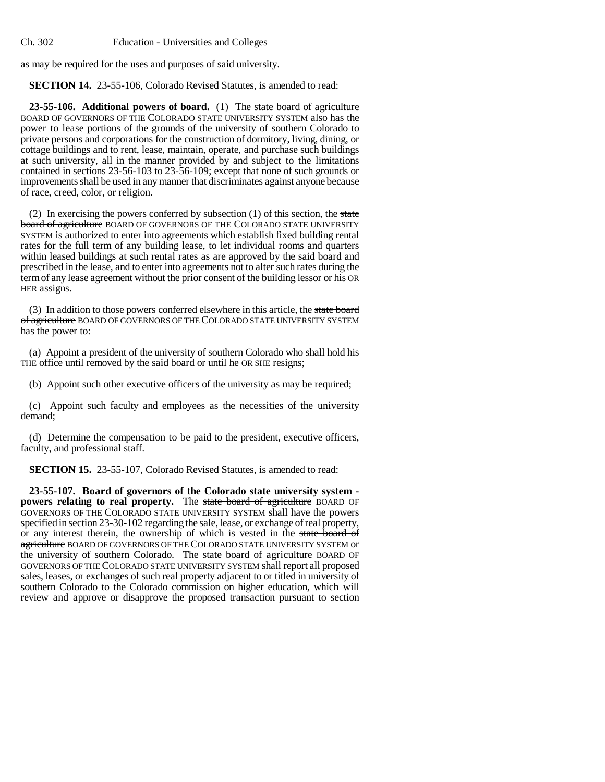as may be required for the uses and purposes of said university.

**SECTION 14.** 23-55-106, Colorado Revised Statutes, is amended to read:

**23-55-106. Additional powers of board.** (1) The state board of agriculture BOARD OF GOVERNORS OF THE COLORADO STATE UNIVERSITY SYSTEM also has the power to lease portions of the grounds of the university of southern Colorado to private persons and corporations for the construction of dormitory, living, dining, or cottage buildings and to rent, lease, maintain, operate, and purchase such buildings at such university, all in the manner provided by and subject to the limitations contained in sections 23-56-103 to 23-56-109; except that none of such grounds or improvements shall be used in any manner that discriminates against anyone because of race, creed, color, or religion.

(2) In exercising the powers conferred by subsection  $(1)$  of this section, the state board of agriculture BOARD OF GOVERNORS OF THE COLORADO STATE UNIVERSITY SYSTEM is authorized to enter into agreements which establish fixed building rental rates for the full term of any building lease, to let individual rooms and quarters within leased buildings at such rental rates as are approved by the said board and prescribed in the lease, and to enter into agreements not to alter such rates during the term of any lease agreement without the prior consent of the building lessor or his OR HER assigns.

(3) In addition to those powers conferred elsewhere in this article, the state board of agriculture BOARD OF GOVERNORS OF THE COLORADO STATE UNIVERSITY SYSTEM has the power to:

(a) Appoint a president of the university of southern Colorado who shall hold his THE office until removed by the said board or until he OR SHE resigns;

(b) Appoint such other executive officers of the university as may be required;

(c) Appoint such faculty and employees as the necessities of the university demand;

(d) Determine the compensation to be paid to the president, executive officers, faculty, and professional staff.

**SECTION 15.** 23-55-107, Colorado Revised Statutes, is amended to read:

**23-55-107. Board of governors of the Colorado state university system powers relating to real property.** The state board of agriculture BOARD OF GOVERNORS OF THE COLORADO STATE UNIVERSITY SYSTEM shall have the powers specified in section 23-30-102 regarding the sale, lease, or exchange of real property, or any interest therein, the ownership of which is vested in the state board of agriculture BOARD OF GOVERNORS OF THE COLORADO STATE UNIVERSITY SYSTEM or the university of southern Colorado. The state board of agriculture BOARD OF GOVERNORS OF THE COLORADO STATE UNIVERSITY SYSTEM shall report all proposed sales, leases, or exchanges of such real property adjacent to or titled in university of southern Colorado to the Colorado commission on higher education, which will review and approve or disapprove the proposed transaction pursuant to section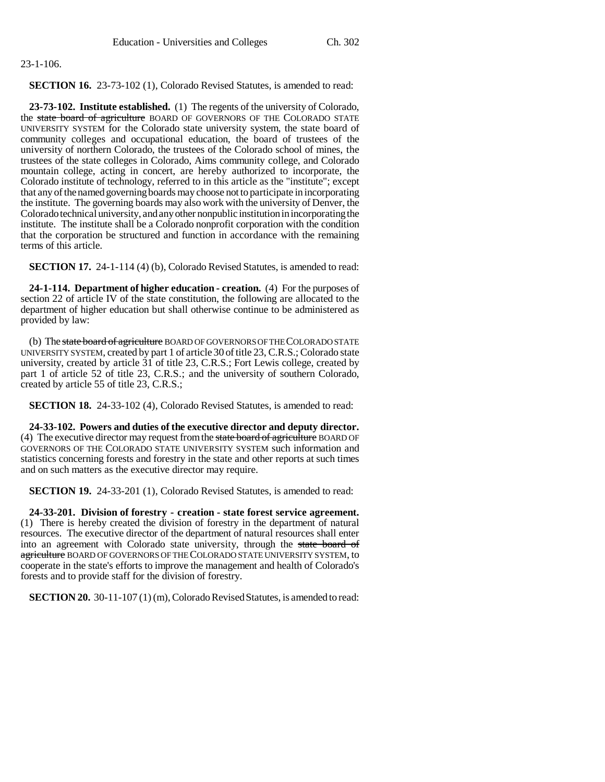## 23-1-106.

**SECTION 16.** 23-73-102 (1), Colorado Revised Statutes, is amended to read:

**23-73-102. Institute established.** (1) The regents of the university of Colorado, the state board of agriculture BOARD OF GOVERNORS OF THE COLORADO STATE UNIVERSITY SYSTEM for the Colorado state university system, the state board of community colleges and occupational education, the board of trustees of the university of northern Colorado, the trustees of the Colorado school of mines, the trustees of the state colleges in Colorado, Aims community college, and Colorado mountain college, acting in concert, are hereby authorized to incorporate, the Colorado institute of technology, referred to in this article as the "institute"; except that any of the named governing boards may choose not to participate in incorporating the institute. The governing boards may also work with the university of Denver, the Colorado technical university, and any other nonpublic institution in incorporating the institute. The institute shall be a Colorado nonprofit corporation with the condition that the corporation be structured and function in accordance with the remaining terms of this article.

**SECTION 17.** 24-1-114 (4) (b), Colorado Revised Statutes, is amended to read:

**24-1-114. Department of higher education - creation.** (4) For the purposes of section 22 of article IV of the state constitution, the following are allocated to the department of higher education but shall otherwise continue to be administered as provided by law:

(b) The state board of agriculture BOARD OF GOVERNORS OF THE COLORADO STATE UNIVERSITY SYSTEM, created by part 1 of article 30 of title 23, C.R.S.; Colorado state university, created by article 31 of title 23, C.R.S.; Fort Lewis college, created by part 1 of article 52 of title 23, C.R.S.; and the university of southern Colorado, created by article 55 of title 23, C.R.S.;

**SECTION 18.** 24-33-102 (4), Colorado Revised Statutes, is amended to read:

**24-33-102. Powers and duties of the executive director and deputy director.** (4) The executive director may request from the state board of agriculture BOARD OF GOVERNORS OF THE COLORADO STATE UNIVERSITY SYSTEM such information and statistics concerning forests and forestry in the state and other reports at such times and on such matters as the executive director may require.

**SECTION 19.** 24-33-201 (1), Colorado Revised Statutes, is amended to read:

**24-33-201. Division of forestry - creation - state forest service agreement.** (1) There is hereby created the division of forestry in the department of natural resources. The executive director of the department of natural resources shall enter into an agreement with Colorado state university, through the state board of agriculture BOARD OF GOVERNORS OF THE COLORADO STATE UNIVERSITY SYSTEM, to cooperate in the state's efforts to improve the management and health of Colorado's forests and to provide staff for the division of forestry.

**SECTION 20.** 30-11-107 (1) (m), Colorado Revised Statutes, is amended to read: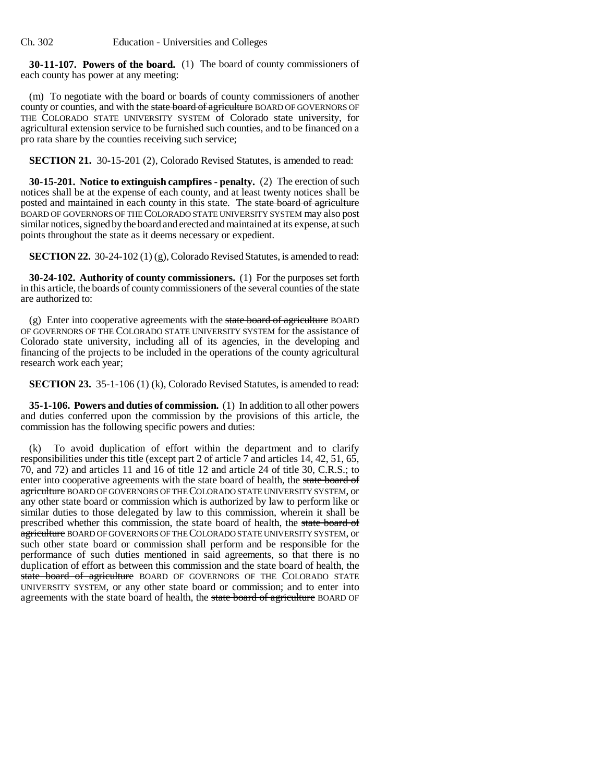**30-11-107. Powers of the board.** (1) The board of county commissioners of each county has power at any meeting:

(m) To negotiate with the board or boards of county commissioners of another county or counties, and with the state board of agriculture BOARD OF GOVERNORS OF THE COLORADO STATE UNIVERSITY SYSTEM of Colorado state university, for agricultural extension service to be furnished such counties, and to be financed on a pro rata share by the counties receiving such service;

**SECTION 21.** 30-15-201 (2), Colorado Revised Statutes, is amended to read:

**30-15-201. Notice to extinguish campfires - penalty.** (2) The erection of such notices shall be at the expense of each county, and at least twenty notices shall be posted and maintained in each county in this state. The state board of agriculture BOARD OF GOVERNORS OF THE COLORADO STATE UNIVERSITY SYSTEM may also post similar notices, signed by the board and erected and maintained at its expense, at such points throughout the state as it deems necessary or expedient.

**SECTION 22.** 30-24-102 (1) (g), Colorado Revised Statutes, is amended to read:

**30-24-102. Authority of county commissioners.** (1) For the purposes set forth in this article, the boards of county commissioners of the several counties of the state are authorized to:

(g) Enter into cooperative agreements with the state board of agriculture BOARD OF GOVERNORS OF THE COLORADO STATE UNIVERSITY SYSTEM for the assistance of Colorado state university, including all of its agencies, in the developing and financing of the projects to be included in the operations of the county agricultural research work each year;

**SECTION 23.** 35-1-106 (1) (k), Colorado Revised Statutes, is amended to read:

**35-1-106. Powers and duties of commission.** (1) In addition to all other powers and duties conferred upon the commission by the provisions of this article, the commission has the following specific powers and duties:

(k) To avoid duplication of effort within the department and to clarify responsibilities under this title (except part 2 of article 7 and articles 14, 42, 51, 65, 70, and 72) and articles 11 and 16 of title 12 and article 24 of title 30, C.R.S.; to enter into cooperative agreements with the state board of health, the state board of agriculture BOARD OF GOVERNORS OF THE COLORADO STATE UNIVERSITY SYSTEM, or any other state board or commission which is authorized by law to perform like or similar duties to those delegated by law to this commission, wherein it shall be prescribed whether this commission, the state board of health, the state board of agriculture BOARD OF GOVERNORS OF THE COLORADO STATE UNIVERSITY SYSTEM, or such other state board or commission shall perform and be responsible for the performance of such duties mentioned in said agreements, so that there is no duplication of effort as between this commission and the state board of health, the state board of agriculture BOARD OF GOVERNORS OF THE COLORADO STATE UNIVERSITY SYSTEM, or any other state board or commission; and to enter into agreements with the state board of health, the state board of agriculture BOARD OF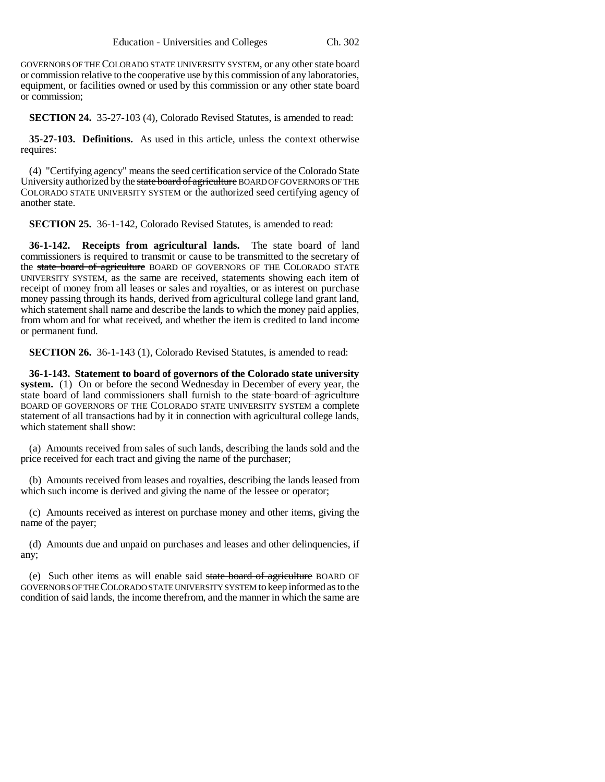GOVERNORS OF THE COLORADO STATE UNIVERSITY SYSTEM, or any other state board or commission relative to the cooperative use by this commission of any laboratories, equipment, or facilities owned or used by this commission or any other state board or commission;

**SECTION 24.** 35-27-103 (4), Colorado Revised Statutes, is amended to read:

**35-27-103. Definitions.** As used in this article, unless the context otherwise requires:

(4) "Certifying agency" means the seed certification service of the Colorado State University authorized by the state board of agriculture BOARD OF GOVERNORS OF THE COLORADO STATE UNIVERSITY SYSTEM or the authorized seed certifying agency of another state.

**SECTION 25.** 36-1-142, Colorado Revised Statutes, is amended to read:

**36-1-142. Receipts from agricultural lands.** The state board of land commissioners is required to transmit or cause to be transmitted to the secretary of the state board of agriculture BOARD OF GOVERNORS OF THE COLORADO STATE UNIVERSITY SYSTEM, as the same are received, statements showing each item of receipt of money from all leases or sales and royalties, or as interest on purchase money passing through its hands, derived from agricultural college land grant land, which statement shall name and describe the lands to which the money paid applies, from whom and for what received, and whether the item is credited to land income or permanent fund.

**SECTION 26.** 36-1-143 (1), Colorado Revised Statutes, is amended to read:

**36-1-143. Statement to board of governors of the Colorado state university system.** (1) On or before the second Wednesday in December of every year, the state board of land commissioners shall furnish to the state board of agriculture BOARD OF GOVERNORS OF THE COLORADO STATE UNIVERSITY SYSTEM a complete statement of all transactions had by it in connection with agricultural college lands, which statement shall show:

(a) Amounts received from sales of such lands, describing the lands sold and the price received for each tract and giving the name of the purchaser;

(b) Amounts received from leases and royalties, describing the lands leased from which such income is derived and giving the name of the lessee or operator;

(c) Amounts received as interest on purchase money and other items, giving the name of the payer;

(d) Amounts due and unpaid on purchases and leases and other delinquencies, if any;

(e) Such other items as will enable said state board of agriculture BOARD OF GOVERNORS OF THE COLORADO STATE UNIVERSITY SYSTEM to keep informed as to the condition of said lands, the income therefrom, and the manner in which the same are